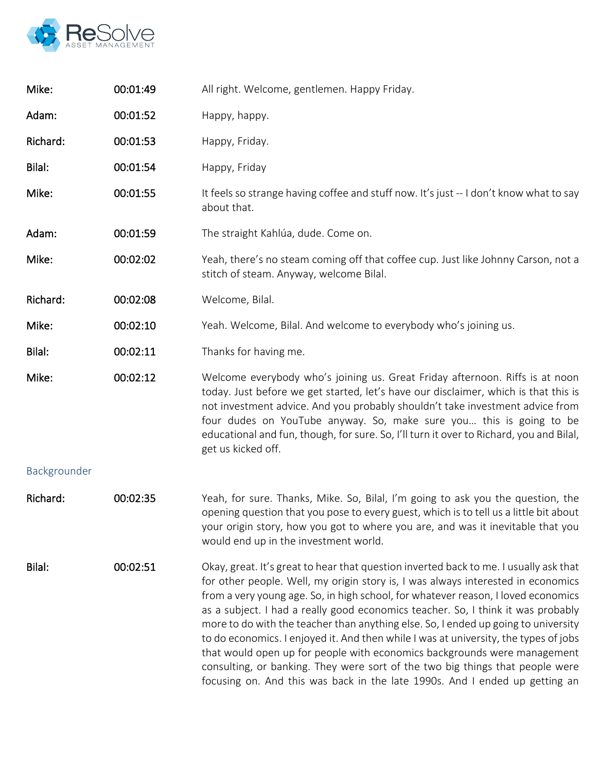

| Mike:        | 00:01:49 | All right. Welcome, gentlemen. Happy Friday.                                                                                                                                                                                                                                                                                                                                                                                                                                                                                                                                                                                                                                                                                                                                 |
|--------------|----------|------------------------------------------------------------------------------------------------------------------------------------------------------------------------------------------------------------------------------------------------------------------------------------------------------------------------------------------------------------------------------------------------------------------------------------------------------------------------------------------------------------------------------------------------------------------------------------------------------------------------------------------------------------------------------------------------------------------------------------------------------------------------------|
| Adam:        | 00:01:52 | Happy, happy.                                                                                                                                                                                                                                                                                                                                                                                                                                                                                                                                                                                                                                                                                                                                                                |
| Richard:     | 00:01:53 | Happy, Friday.                                                                                                                                                                                                                                                                                                                                                                                                                                                                                                                                                                                                                                                                                                                                                               |
| Bilal:       | 00:01:54 | Happy, Friday                                                                                                                                                                                                                                                                                                                                                                                                                                                                                                                                                                                                                                                                                                                                                                |
| Mike:        | 00:01:55 | It feels so strange having coffee and stuff now. It's just -- I don't know what to say<br>about that.                                                                                                                                                                                                                                                                                                                                                                                                                                                                                                                                                                                                                                                                        |
| Adam:        | 00:01:59 | The straight Kahlúa, dude. Come on.                                                                                                                                                                                                                                                                                                                                                                                                                                                                                                                                                                                                                                                                                                                                          |
| Mike:        | 00:02:02 | Yeah, there's no steam coming off that coffee cup. Just like Johnny Carson, not a<br>stitch of steam. Anyway, welcome Bilal.                                                                                                                                                                                                                                                                                                                                                                                                                                                                                                                                                                                                                                                 |
| Richard:     | 00:02:08 | Welcome, Bilal.                                                                                                                                                                                                                                                                                                                                                                                                                                                                                                                                                                                                                                                                                                                                                              |
| Mike:        | 00:02:10 | Yeah. Welcome, Bilal. And welcome to everybody who's joining us.                                                                                                                                                                                                                                                                                                                                                                                                                                                                                                                                                                                                                                                                                                             |
| Bilal:       | 00:02:11 | Thanks for having me.                                                                                                                                                                                                                                                                                                                                                                                                                                                                                                                                                                                                                                                                                                                                                        |
| Mike:        | 00:02:12 | Welcome everybody who's joining us. Great Friday afternoon. Riffs is at noon<br>today. Just before we get started, let's have our disclaimer, which is that this is<br>not investment advice. And you probably shouldn't take investment advice from<br>four dudes on YouTube anyway. So, make sure you this is going to be<br>educational and fun, though, for sure. So, I'll turn it over to Richard, you and Bilal,<br>get us kicked off.                                                                                                                                                                                                                                                                                                                                 |
| Backgrounder |          |                                                                                                                                                                                                                                                                                                                                                                                                                                                                                                                                                                                                                                                                                                                                                                              |
| Richard:     | 00:02:35 | Yeah, for sure. Thanks, Mike. So, Bilal, I'm going to ask you the question, the<br>opening question that you pose to every guest, which is to tell us a little bit about<br>your origin story, how you got to where you are, and was it inevitable that you<br>would end up in the investment world.                                                                                                                                                                                                                                                                                                                                                                                                                                                                         |
| Bilal:       | 00:02:51 | Okay, great. It's great to hear that question inverted back to me. I usually ask that<br>for other people. Well, my origin story is, I was always interested in economics<br>from a very young age. So, in high school, for whatever reason, I loved economics<br>as a subject. I had a really good economics teacher. So, I think it was probably<br>more to do with the teacher than anything else. So, I ended up going to university<br>to do economics. I enjoyed it. And then while I was at university, the types of jobs<br>that would open up for people with economics backgrounds were management<br>consulting, or banking. They were sort of the two big things that people were<br>focusing on. And this was back in the late 1990s. And I ended up getting an |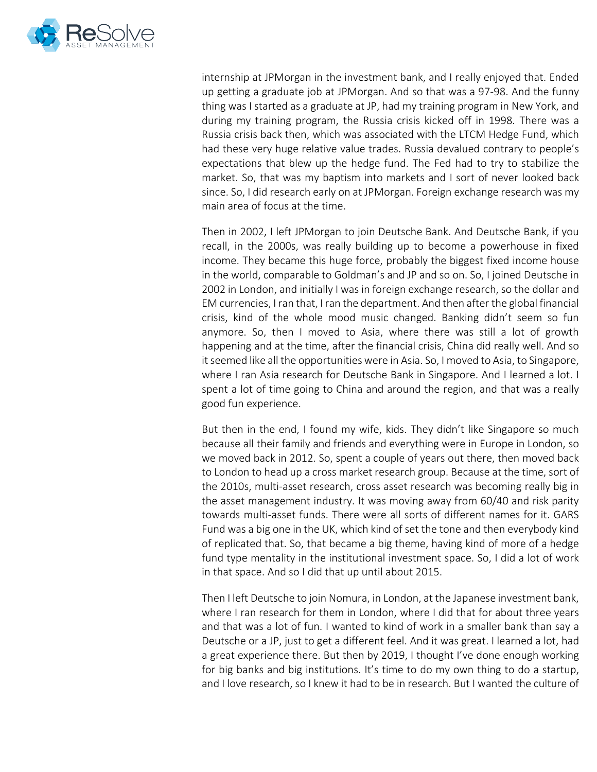

internship at JPMorgan in the investment bank, and I really enjoyed that. Ended up getting a graduate job at JPMorgan. And so that was a 97-98. And the funny thing was I started as a graduate at JP, had my training program in New York, and during my training program, the Russia crisis kicked off in 1998. There was a Russia crisis back then, which was associated with the LTCM Hedge Fund, which had these very huge relative value trades. Russia devalued contrary to people's expectations that blew up the hedge fund. The Fed had to try to stabilize the market. So, that was my baptism into markets and I sort of never looked back since. So, I did research early on at JPMorgan. Foreign exchange research was my main area of focus at the time.

Then in 2002, I left JPMorgan to join Deutsche Bank. And Deutsche Bank, if you recall, in the 2000s, was really building up to become a powerhouse in fixed income. They became this huge force, probably the biggest fixed income house in the world, comparable to Goldman's and JP and so on. So, I joined Deutsche in 2002 in London, and initially I was in foreign exchange research, so the dollar and EM currencies, I ran that, I ran the department. And then after the global financial crisis, kind of the whole mood music changed. Banking didn't seem so fun anymore. So, then I moved to Asia, where there was still a lot of growth happening and at the time, after the financial crisis, China did really well. And so it seemed like all the opportunities were in Asia. So, I moved to Asia, to Singapore, where I ran Asia research for Deutsche Bank in Singapore. And I learned a lot. I spent a lot of time going to China and around the region, and that was a really good fun experience.

But then in the end, I found my wife, kids. They didn't like Singapore so much because all their family and friends and everything were in Europe in London, so we moved back in 2012. So, spent a couple of years out there, then moved back to London to head up a cross market research group. Because at the time, sort of the 2010s, multi-asset research, cross asset research was becoming really big in the asset management industry. It was moving away from 60/40 and risk parity towards multi-asset funds. There were all sorts of different names for it. GARS Fund was a big one in the UK, which kind of set the tone and then everybody kind of replicated that. So, that became a big theme, having kind of more of a hedge fund type mentality in the institutional investment space. So, I did a lot of work in that space. And so I did that up until about 2015.

Then I left Deutsche to join Nomura, in London, at the Japanese investment bank, where I ran research for them in London, where I did that for about three years and that was a lot of fun. I wanted to kind of work in a smaller bank than say a Deutsche or a JP, just to get a different feel. And it was great. I learned a lot, had a great experience there. But then by 2019, I thought I've done enough working for big banks and big institutions. It's time to do my own thing to do a startup, and I love research, so I knew it had to be in research. But I wanted the culture of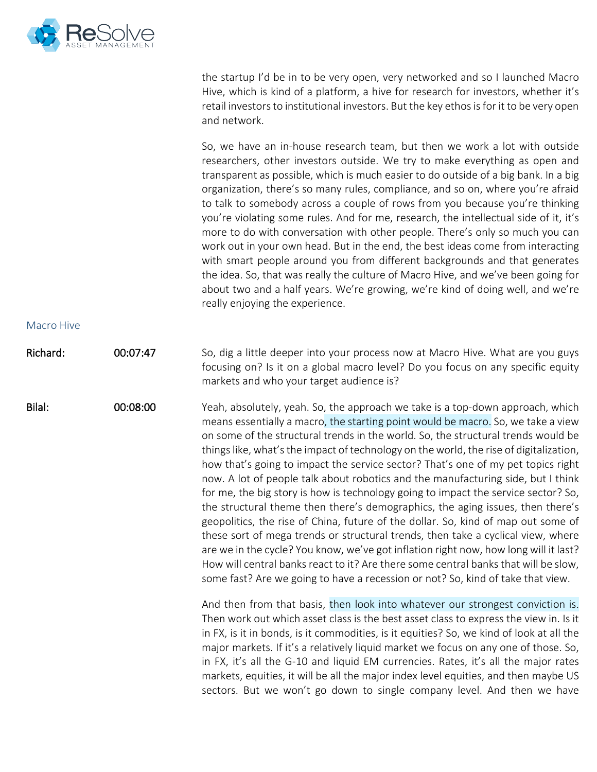

the startup I'd be in to be very open, very networked and so I launched Macro Hive, which is kind of a platform, a hive for research for investors, whether it's retail investors to institutional investors. But the key ethos is for it to be very open and network.

So, we have an in-house research team, but then we work a lot with outside researchers, other investors outside. We try to make everything as open and transparent as possible, which is much easier to do outside of a big bank. In a big organization, there's so many rules, compliance, and so on, where you're afraid to talk to somebody across a couple of rows from you because you're thinking you're violating some rules. And for me, research, the intellectual side of it, it's more to do with conversation with other people. There's only so much you can work out in your own head. But in the end, the best ideas come from interacting with smart people around you from different backgrounds and that generates the idea. So, that was really the culture of Macro Hive, and we've been going for about two and a half years. We're growing, we're kind of doing well, and we're really enjoying the experience.

Richard: 00:07:47 So, dig a little deeper into your process now at Macro Hive. What are you guys focusing on? Is it on a global macro level? Do you focus on any specific equity markets and who your target audience is?

Bilal: 00:08:00 Yeah, absolutely, yeah. So, the approach we take is a top-down approach, which means essentially a macro, the starting point would be macro. So, we take a view on some of the structural trends in the world. So, the structural trends would be things like, what's the impact of technology on the world, the rise of digitalization, how that's going to impact the service sector? That's one of my pet topics right now. A lot of people talk about robotics and the manufacturing side, but I think for me, the big story is how is technology going to impact the service sector? So, the structural theme then there's demographics, the aging issues, then there's geopolitics, the rise of China, future of the dollar. So, kind of map out some of these sort of mega trends or structural trends, then take a cyclical view, where are we in the cycle? You know, we've got inflation right now, how long will it last? How will central banks react to it? Are there some central banks that will be slow, some fast? Are we going to have a recession or not? So, kind of take that view.

> And then from that basis, then look into whatever our strongest conviction is. Then work out which asset class is the best asset class to express the view in. Is it in FX, is it in bonds, is it commodities, is it equities? So, we kind of look at all the major markets. If it's a relatively liquid market we focus on any one of those. So, in FX, it's all the G-10 and liquid EM currencies. Rates, it's all the major rates markets, equities, it will be all the major index level equities, and then maybe US sectors. But we won't go down to single company level. And then we have

#### Macro Hive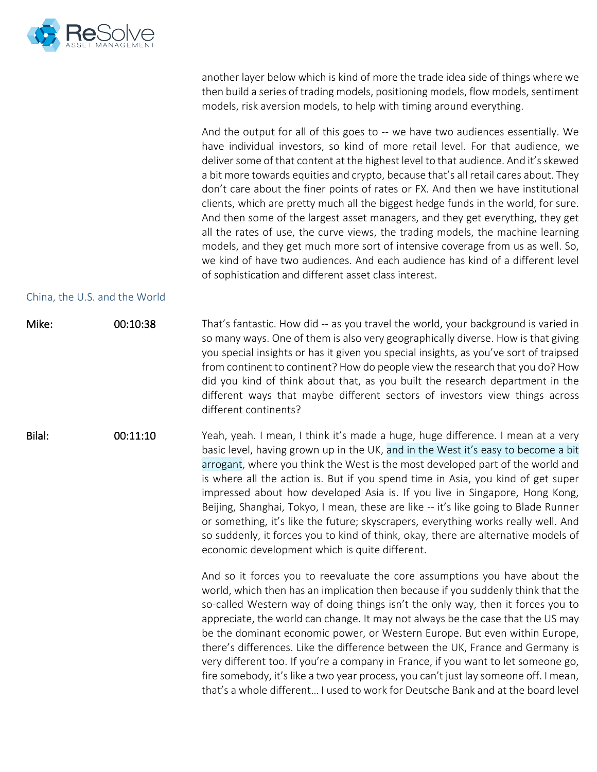

another layer below which is kind of more the trade idea side of things where we then build a series of trading models, positioning models, flow models, sentiment models, risk aversion models, to help with timing around everything.

And the output for all of this goes to -- we have two audiences essentially. We have individual investors, so kind of more retail level. For that audience, we deliver some of that content at the highest level to that audience. And it's skewed a bit more towards equities and crypto, because that's all retail cares about. They don't care about the finer points of rates or FX. And then we have institutional clients, which are pretty much all the biggest hedge funds in the world, for sure. And then some of the largest asset managers, and they get everything, they get all the rates of use, the curve views, the trading models, the machine learning models, and they get much more sort of intensive coverage from us as well. So, we kind of have two audiences. And each audience has kind of a different level of sophistication and different asset class interest.

### China, the U.S. and the World

| Mike:  | 00:10:38 | That's fantastic. How did -- as you travel the world, your background is varied in<br>so many ways. One of them is also very geographically diverse. How is that giving<br>you special insights or has it given you special insights, as you've sort of traipsed<br>from continent to continent? How do people view the research that you do? How<br>did you kind of think about that, as you built the research department in the<br>different ways that maybe different sectors of investors view things across<br>different continents? |
|--------|----------|--------------------------------------------------------------------------------------------------------------------------------------------------------------------------------------------------------------------------------------------------------------------------------------------------------------------------------------------------------------------------------------------------------------------------------------------------------------------------------------------------------------------------------------------|
| Bilal: | 00:11:10 | Yeah, yeah. I mean, I think it's made a huge, huge difference. I mean at a very<br>basic level, having grown up in the UK, and in the West it's easy to become a bit<br>arrogant, where you think the West is the most developed part of the world and                                                                                                                                                                                                                                                                                     |

is where all the action is. But if you spend time in Asia, you kind of get super impressed about how developed Asia is. If you live in Singapore, Hong Kong, Beijing, Shanghai, Tokyo, I mean, these are like -- it's like going to Blade Runner or something, it's like the future; skyscrapers, everything works really well. And so suddenly, it forces you to kind of think, okay, there are alternative models of economic development which is quite different.

> And so it forces you to reevaluate the core assumptions you have about the world, which then has an implication then because if you suddenly think that the so-called Western way of doing things isn't the only way, then it forces you to appreciate, the world can change. It may not always be the case that the US may be the dominant economic power, or Western Europe. But even within Europe, there's differences. Like the difference between the UK, France and Germany is very different too. If you're a company in France, if you want to let someone go, fire somebody, it's like a two year process, you can't just lay someone off. I mean, that's a whole different… I used to work for Deutsche Bank and at the board level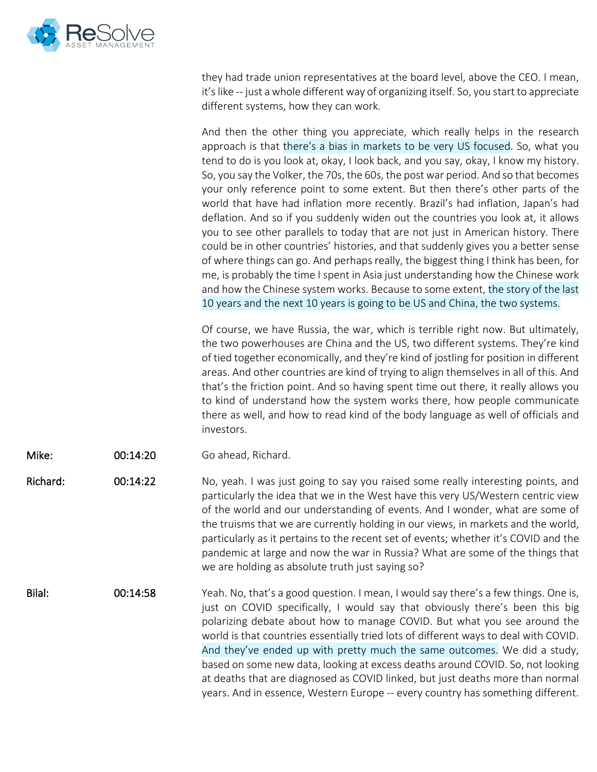

they had trade union representatives at the board level, above the CEO. I mean, it's like -- just a whole different way of organizing itself. So, you start to appreciate different systems, how they can work.

And then the other thing you appreciate, which really helps in the research approach is that there's a bias in markets to be very US focused. So, what you tend to do is you look at, okay, I look back, and you say, okay, I know my history. So, you say the Volker, the 70s, the 60s, the post war period. And so that becomes your only reference point to some extent. But then there's other parts of the world that have had inflation more recently. Brazil's had inflation, Japan's had deflation. And so if you suddenly widen out the countries you look at, it allows you to see other parallels to today that are not just in American history. There could be in other countries' histories, and that suddenly gives you a better sense of where things can go. And perhaps really, the biggest thing I think has been, for me, is probably the time I spent in Asia just understanding how the Chinese work and how the Chinese system works. Because to some extent, the story of the last 10 years and the next 10 years is going to be US and China, the two systems.

Of course, we have Russia, the war, which is terrible right now. But ultimately, the two powerhouses are China and the US, two different systems. They're kind of tied together economically, and they're kind of jostling for position in different areas. And other countries are kind of trying to align themselves in all of this. And that's the friction point. And so having spent time out there, it really allows you to kind of understand how the system works there, how people communicate there as well, and how to read kind of the body language as well of officials and investors.

**Mike:** 00:14:20 Go ahead, Richard.

Richard: 00:14:22 No, yeah. I was just going to say you raised some really interesting points, and particularly the idea that we in the West have this very US/Western centric view of the world and our understanding of events. And I wonder, what are some of the truisms that we are currently holding in our views, in markets and the world, particularly as it pertains to the recent set of events; whether it's COVID and the pandemic at large and now the war in Russia? What are some of the things that we are holding as absolute truth just saying so?

Bilal: 00:14:58 Yeah. No, that's a good question. I mean, I would say there's a few things. One is, just on COVID specifically, I would say that obviously there's been this big polarizing debate about how to manage COVID. But what you see around the world is that countries essentially tried lots of different ways to deal with COVID. And they've ended up with pretty much the same outcomes. We did a study, based on some new data, looking at excess deaths around COVID. So, not looking at deaths that are diagnosed as COVID linked, but just deaths more than normal years. And in essence, Western Europe -- every country has something different.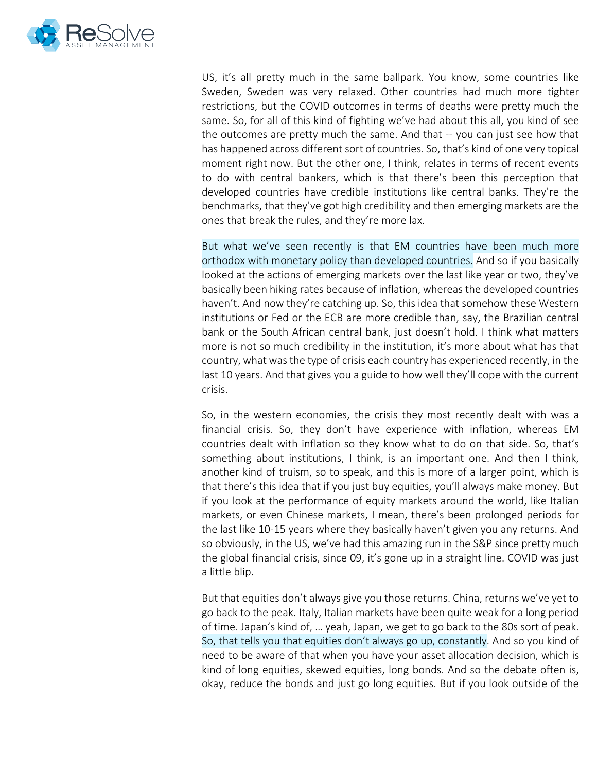

US, it's all pretty much in the same ballpark. You know, some countries like Sweden, Sweden was very relaxed. Other countries had much more tighter restrictions, but the COVID outcomes in terms of deaths were pretty much the same. So, for all of this kind of fighting we've had about this all, you kind of see the outcomes are pretty much the same. And that -- you can just see how that has happened across different sort of countries. So, that's kind of one very topical moment right now. But the other one, I think, relates in terms of recent events to do with central bankers, which is that there's been this perception that developed countries have credible institutions like central banks. They're the benchmarks, that they've got high credibility and then emerging markets are the ones that break the rules, and they're more lax.

But what we've seen recently is that EM countries have been much more orthodox with monetary policy than developed countries. And so if you basically looked at the actions of emerging markets over the last like year or two, they've basically been hiking rates because of inflation, whereas the developed countries haven't. And now they're catching up. So, this idea that somehow these Western institutions or Fed or the ECB are more credible than, say, the Brazilian central bank or the South African central bank, just doesn't hold. I think what matters more is not so much credibility in the institution, it's more about what has that country, what was the type of crisis each country has experienced recently, in the last 10 years. And that gives you a guide to how well they'll cope with the current crisis.

So, in the western economies, the crisis they most recently dealt with was a financial crisis. So, they don't have experience with inflation, whereas EM countries dealt with inflation so they know what to do on that side. So, that's something about institutions, I think, is an important one. And then I think, another kind of truism, so to speak, and this is more of a larger point, which is that there's this idea that if you just buy equities, you'll always make money. But if you look at the performance of equity markets around the world, like Italian markets, or even Chinese markets, I mean, there's been prolonged periods for the last like 10-15 years where they basically haven't given you any returns. And so obviously, in the US, we've had this amazing run in the S&P since pretty much the global financial crisis, since 09, it's gone up in a straight line. COVID was just a little blip.

But that equities don't always give you those returns. China, returns we've yet to go back to the peak. Italy, Italian markets have been quite weak for a long period of time. Japan's kind of, … yeah, Japan, we get to go back to the 80s sort of peak. So, that tells you that equities don't always go up, constantly. And so you kind of need to be aware of that when you have your asset allocation decision, which is kind of long equities, skewed equities, long bonds. And so the debate often is, okay, reduce the bonds and just go long equities. But if you look outside of the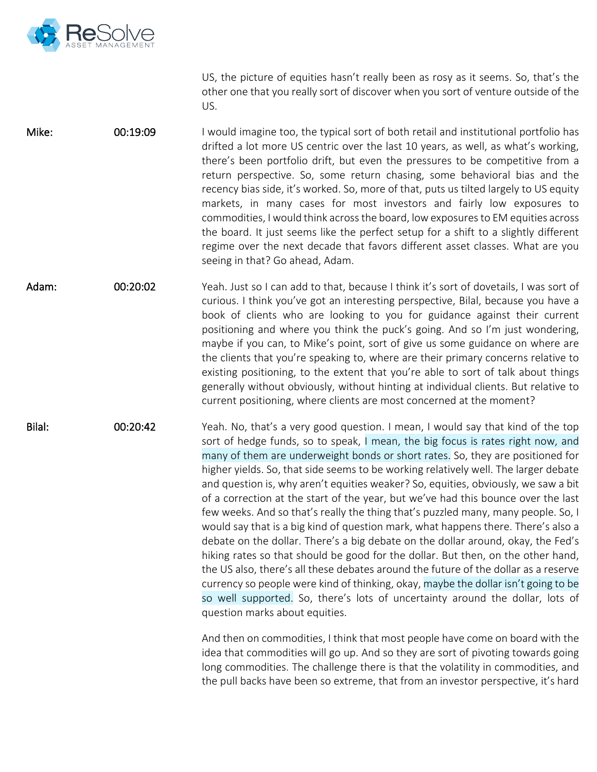

US, the picture of equities hasn't really been as rosy as it seems. So, that's the other one that you really sort of discover when you sort of venture outside of the US.

Mike: 00:19:09 I would imagine too, the typical sort of both retail and institutional portfolio has drifted a lot more US centric over the last 10 years, as well, as what's working, there's been portfolio drift, but even the pressures to be competitive from a return perspective. So, some return chasing, some behavioral bias and the recency bias side, it's worked. So, more of that, puts us tilted largely to US equity markets, in many cases for most investors and fairly low exposures to commodities, I would think across the board, low exposures to EM equities across the board. It just seems like the perfect setup for a shift to a slightly different regime over the next decade that favors different asset classes. What are you seeing in that? Go ahead, Adam.

Adam: 00:20:02 Yeah. Just so I can add to that, because I think it's sort of dovetails, I was sort of curious. I think you've got an interesting perspective, Bilal, because you have a book of clients who are looking to you for guidance against their current positioning and where you think the puck's going. And so I'm just wondering, maybe if you can, to Mike's point, sort of give us some guidance on where are the clients that you're speaking to, where are their primary concerns relative to existing positioning, to the extent that you're able to sort of talk about things generally without obviously, without hinting at individual clients. But relative to current positioning, where clients are most concerned at the moment?

Bilal: 00:20:42 Yeah. No, that's a very good question. I mean, I would say that kind of the top sort of hedge funds, so to speak, I mean, the big focus is rates right now, and many of them are underweight bonds or short rates. So, they are positioned for higher yields. So, that side seems to be working relatively well. The larger debate and question is, why aren't equities weaker? So, equities, obviously, we saw a bit of a correction at the start of the year, but we've had this bounce over the last few weeks. And so that's really the thing that's puzzled many, many people. So, I would say that is a big kind of question mark, what happens there. There's also a debate on the dollar. There's a big debate on the dollar around, okay, the Fed's hiking rates so that should be good for the dollar. But then, on the other hand, the US also, there's all these debates around the future of the dollar as a reserve currency so people were kind of thinking, okay, maybe the dollar isn't going to be so well supported. So, there's lots of uncertainty around the dollar, lots of question marks about equities.

> And then on commodities, I think that most people have come on board with the idea that commodities will go up. And so they are sort of pivoting towards going long commodities. The challenge there is that the volatility in commodities, and the pull backs have been so extreme, that from an investor perspective, it's hard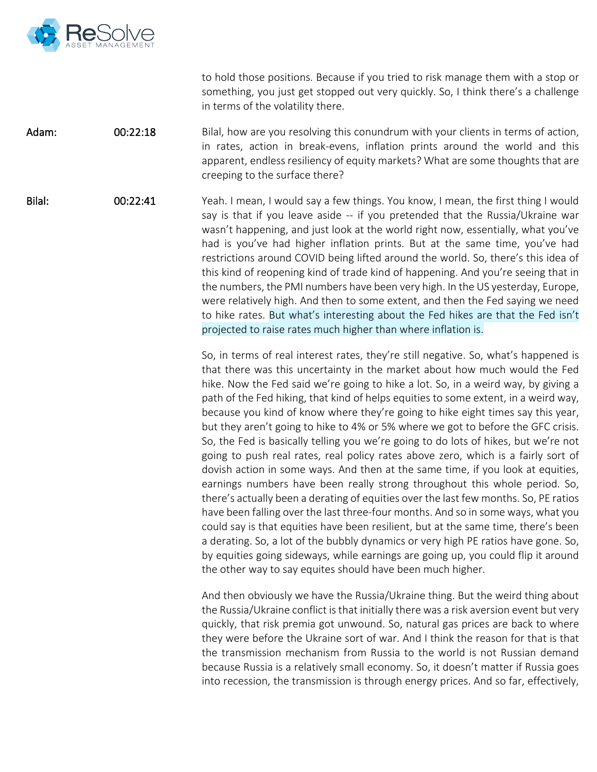

to hold those positions. Because if you tried to risk manage them with a stop or something, you just get stopped out very quickly. So, I think there's a challenge in terms of the volatility there.

Adam: 00:22:18 Bilal, how are you resolving this conundrum with your clients in terms of action, in rates, action in break-evens, inflation prints around the world and this apparent, endless resiliency of equity markets? What are some thoughts that are creeping to the surface there?

Bilal: 00:22:41 Yeah. I mean, I would say a few things. You know, I mean, the first thing I would say is that if you leave aside -- if you pretended that the Russia/Ukraine war wasn't happening, and just look at the world right now, essentially, what you've had is you've had higher inflation prints. But at the same time, you've had restrictions around COVID being lifted around the world. So, there's this idea of this kind of reopening kind of trade kind of happening. And you're seeing that in the numbers, the PMI numbers have been very high. In the US yesterday, Europe, were relatively high. And then to some extent, and then the Fed saying we need to hike rates. But what's interesting about the Fed hikes are that the Fed isn't projected to raise rates much higher than where inflation is.

> So, in terms of real interest rates, they're still negative. So, what's happened is that there was this uncertainty in the market about how much would the Fed hike. Now the Fed said we're going to hike a lot. So, in a weird way, by giving a path of the Fed hiking, that kind of helps equities to some extent, in a weird way, because you kind of know where they're going to hike eight times say this year, but they aren't going to hike to 4% or 5% where we got to before the GFC crisis. So, the Fed is basically telling you we're going to do lots of hikes, but we're not going to push real rates, real policy rates above zero, which is a fairly sort of dovish action in some ways. And then at the same time, if you look at equities, earnings numbers have been really strong throughout this whole period. So, there's actually been a derating of equities over the last few months. So, PE ratios have been falling over the last three-four months. And so in some ways, what you could say is that equities have been resilient, but at the same time, there's been a derating. So, a lot of the bubbly dynamics or very high PE ratios have gone. So, by equities going sideways, while earnings are going up, you could flip it around the other way to say equites should have been much higher.

> And then obviously we have the Russia/Ukraine thing. But the weird thing about the Russia/Ukraine conflict is that initially there was a risk aversion event but very quickly, that risk premia got unwound. So, natural gas prices are back to where they were before the Ukraine sort of war. And I think the reason for that is that the transmission mechanism from Russia to the world is not Russian demand because Russia is a relatively small economy. So, it doesn't matter if Russia goes into recession, the transmission is through energy prices. And so far, effectively,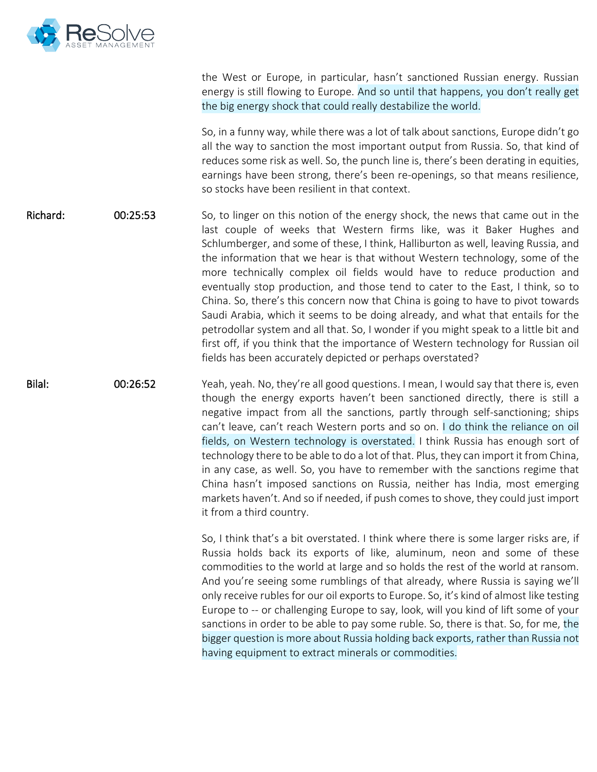

the West or Europe, in particular, hasn't sanctioned Russian energy. Russian energy is still flowing to Europe. And so until that happens, you don't really get the big energy shock that could really destabilize the world.

So, in a funny way, while there was a lot of talk about sanctions, Europe didn't go all the way to sanction the most important output from Russia. So, that kind of reduces some risk as well. So, the punch line is, there's been derating in equities, earnings have been strong, there's been re-openings, so that means resilience, so stocks have been resilient in that context.

Richard: 00:25:53 So, to linger on this notion of the energy shock, the news that came out in the last couple of weeks that Western firms like, was it Baker Hughes and Schlumberger, and some of these, I think, Halliburton as well, leaving Russia, and the information that we hear is that without Western technology, some of the more technically complex oil fields would have to reduce production and eventually stop production, and those tend to cater to the East, I think, so to China. So, there's this concern now that China is going to have to pivot towards Saudi Arabia, which it seems to be doing already, and what that entails for the petrodollar system and all that. So, I wonder if you might speak to a little bit and first off, if you think that the importance of Western technology for Russian oil fields has been accurately depicted or perhaps overstated?

Bilal: 00:26:52 Yeah, yeah. No, they're all good questions. I mean, I would say that there is, even though the energy exports haven't been sanctioned directly, there is still a negative impact from all the sanctions, partly through self-sanctioning; ships can't leave, can't reach Western ports and so on. I do think the reliance on oil fields, on Western technology is overstated. I think Russia has enough sort of technology there to be able to do a lot of that. Plus, they can import it from China, in any case, as well. So, you have to remember with the sanctions regime that China hasn't imposed sanctions on Russia, neither has India, most emerging markets haven't. And so if needed, if push comes to shove, they could just import it from a third country.

> So, I think that's a bit overstated. I think where there is some larger risks are, if Russia holds back its exports of like, aluminum, neon and some of these commodities to the world at large and so holds the rest of the world at ransom. And you're seeing some rumblings of that already, where Russia is saying we'll only receive rubles for our oil exports to Europe. So, it's kind of almost like testing Europe to -- or challenging Europe to say, look, will you kind of lift some of your sanctions in order to be able to pay some ruble. So, there is that. So, for me, the bigger question is more about Russia holding back exports, rather than Russia not having equipment to extract minerals or commodities.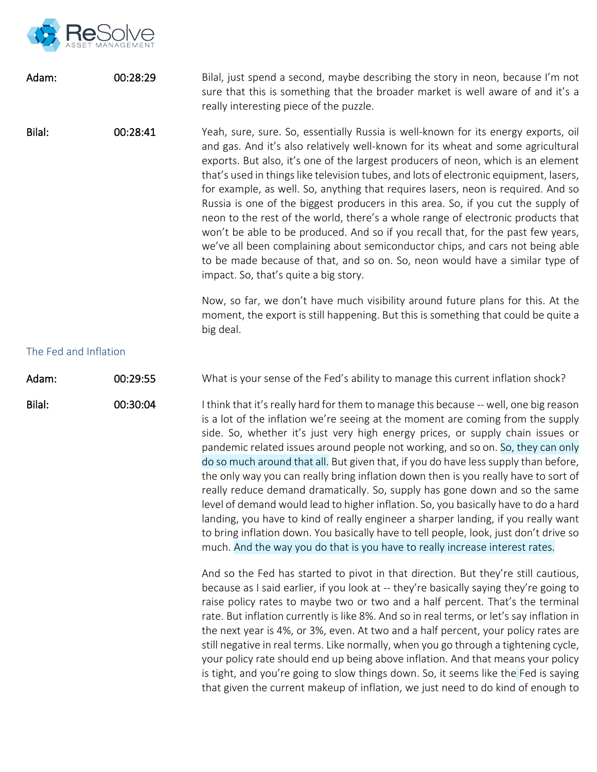

| Adam:                 | 00:28:29 | Bilal, just spend a second, maybe describing the story in neon, because I'm not<br>sure that this is something that the broader market is well aware of and it's a<br>really interesting piece of the puzzle.                                                                                                                                                                                                                                                                                                                                                                                                                                                                                                                                                                                                                                                                                                                                                    |
|-----------------------|----------|------------------------------------------------------------------------------------------------------------------------------------------------------------------------------------------------------------------------------------------------------------------------------------------------------------------------------------------------------------------------------------------------------------------------------------------------------------------------------------------------------------------------------------------------------------------------------------------------------------------------------------------------------------------------------------------------------------------------------------------------------------------------------------------------------------------------------------------------------------------------------------------------------------------------------------------------------------------|
| Bilal:                | 00:28:41 | Yeah, sure, sure. So, essentially Russia is well-known for its energy exports, oil<br>and gas. And it's also relatively well-known for its wheat and some agricultural<br>exports. But also, it's one of the largest producers of neon, which is an element<br>that's used in things like television tubes, and lots of electronic equipment, lasers,<br>for example, as well. So, anything that requires lasers, neon is required. And so<br>Russia is one of the biggest producers in this area. So, if you cut the supply of<br>neon to the rest of the world, there's a whole range of electronic products that<br>won't be able to be produced. And so if you recall that, for the past few years,<br>we've all been complaining about semiconductor chips, and cars not being able<br>to be made because of that, and so on. So, neon would have a similar type of<br>impact. So, that's quite a big story.                                                |
|                       |          | Now, so far, we don't have much visibility around future plans for this. At the<br>moment, the export is still happening. But this is something that could be quite a<br>big deal.                                                                                                                                                                                                                                                                                                                                                                                                                                                                                                                                                                                                                                                                                                                                                                               |
| The Fed and Inflation |          |                                                                                                                                                                                                                                                                                                                                                                                                                                                                                                                                                                                                                                                                                                                                                                                                                                                                                                                                                                  |
| Adam:                 | 00:29:55 | What is your sense of the Fed's ability to manage this current inflation shock?                                                                                                                                                                                                                                                                                                                                                                                                                                                                                                                                                                                                                                                                                                                                                                                                                                                                                  |
| Bilal:                | 00:30:04 | I think that it's really hard for them to manage this because -- well, one big reason<br>is a lot of the inflation we're seeing at the moment are coming from the supply<br>side. So, whether it's just very high energy prices, or supply chain issues or<br>pandemic related issues around people not working, and so on. So, they can only<br>do so much around that all. But given that, if you do have less supply than before,<br>the only way you can really bring inflation down then is you really have to sort of<br>really reduce demand dramatically. So, supply has gone down and so the same<br>level of demand would lead to higher inflation. So, you basically have to do a hard<br>landing, you have to kind of really engineer a sharper landing, if you really want<br>to bring inflation down. You basically have to tell people, look, just don't drive so<br>much. And the way you do that is you have to really increase interest rates. |
|                       |          | And so the Fed has started to pivot in that direction. But they're still cautious,<br>because as I said earlier, if you look at -- they're basically saying they're going to<br>raise policy rates to maybe two or two and a half percent. That's the terminal<br>rate. But inflation currently is like 8%. And so in real terms, or let's say inflation in<br>the next year is 4%, or 3%, even. At two and a half percent, your policy rates are<br>still negative in real terms. Like normally, when you go through a tightening cycle,<br>your policy rate should end up being above inflation. And that means your policy<br>is tight, and you're going to slow things down. So, it seems like the Fed is saying<br>that given the current makeup of inflation, we just need to do kind of enough to                                                                                                                                                         |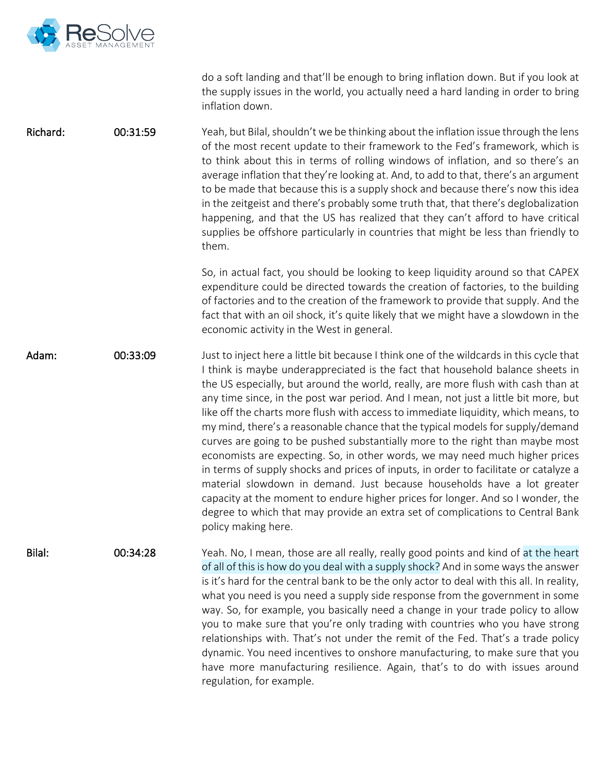

do a soft landing and that'll be enough to bring inflation down. But if you look at the supply issues in the world, you actually need a hard landing in order to bring inflation down. Richard: 00:31:59 Yeah, but Bilal, shouldn't we be thinking about the inflation issue through the lens of the most recent update to their framework to the Fed's framework, which is to think about this in terms of rolling windows of inflation, and so there's an average inflation that they're looking at. And, to add to that, there's an argument to be made that because this is a supply shock and because there's now this idea in the zeitgeist and there's probably some truth that, that there's deglobalization happening, and that the US has realized that they can't afford to have critical supplies be offshore particularly in countries that might be less than friendly to them. So, in actual fact, you should be looking to keep liquidity around so that CAPEX expenditure could be directed towards the creation of factories, to the building of factories and to the creation of the framework to provide that supply. And the fact that with an oil shock, it's quite likely that we might have a slowdown in the economic activity in the West in general. Adam: 00:33:09 Just to inject here a little bit because I think one of the wildcards in this cycle that I think is maybe underappreciated is the fact that household balance sheets in the US especially, but around the world, really, are more flush with cash than at any time since, in the post war period. And I mean, not just a little bit more, but like off the charts more flush with access to immediate liquidity, which means, to my mind, there's a reasonable chance that the typical models for supply/demand curves are going to be pushed substantially more to the right than maybe most economists are expecting. So, in other words, we may need much higher prices in terms of supply shocks and prices of inputs, in order to facilitate or catalyze a material slowdown in demand. Just because households have a lot greater capacity at the moment to endure higher prices for longer. And so I wonder, the degree to which that may provide an extra set of complications to Central Bank policy making here. Bilal: 00:34:28 Yeah. No, I mean, those are all really, really good points and kind of at the heart of all of this is how do you deal with a supply shock? And in some ways the answer is it's hard for the central bank to be the only actor to deal with this all. In reality, what you need is you need a supply side response from the government in some way. So, for example, you basically need a change in your trade policy to allow you to make sure that you're only trading with countries who you have strong relationships with. That's not under the remit of the Fed. That's a trade policy dynamic. You need incentives to onshore manufacturing, to make sure that you have more manufacturing resilience. Again, that's to do with issues around regulation, for example.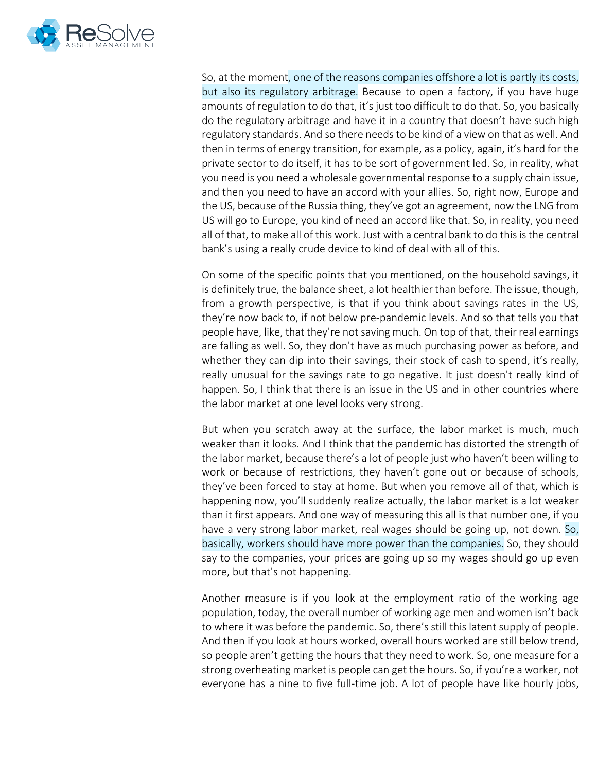

So, at the moment, one of the reasons companies offshore a lot is partly its costs, but also its regulatory arbitrage. Because to open a factory, if you have huge amounts of regulation to do that, it's just too difficult to do that. So, you basically do the regulatory arbitrage and have it in a country that doesn't have such high regulatory standards. And so there needs to be kind of a view on that as well. And then in terms of energy transition, for example, as a policy, again, it's hard for the private sector to do itself, it has to be sort of government led. So, in reality, what you need is you need a wholesale governmental response to a supply chain issue, and then you need to have an accord with your allies. So, right now, Europe and the US, because of the Russia thing, they've got an agreement, now the LNG from US will go to Europe, you kind of need an accord like that. So, in reality, you need all of that, to make all of this work. Just with a central bank to do this is the central bank's using a really crude device to kind of deal with all of this.

On some of the specific points that you mentioned, on the household savings, it is definitely true, the balance sheet, a lot healthier than before. The issue, though, from a growth perspective, is that if you think about savings rates in the US, they're now back to, if not below pre-pandemic levels. And so that tells you that people have, like, that they're not saving much. On top of that, their real earnings are falling as well. So, they don't have as much purchasing power as before, and whether they can dip into their savings, their stock of cash to spend, it's really, really unusual for the savings rate to go negative. It just doesn't really kind of happen. So, I think that there is an issue in the US and in other countries where the labor market at one level looks very strong.

But when you scratch away at the surface, the labor market is much, much weaker than it looks. And I think that the pandemic has distorted the strength of the labor market, because there's a lot of people just who haven't been willing to work or because of restrictions, they haven't gone out or because of schools, they've been forced to stay at home. But when you remove all of that, which is happening now, you'll suddenly realize actually, the labor market is a lot weaker than it first appears. And one way of measuring this all is that number one, if you have a very strong labor market, real wages should be going up, not down. So, basically, workers should have more power than the companies. So, they should say to the companies, your prices are going up so my wages should go up even more, but that's not happening.

Another measure is if you look at the employment ratio of the working age population, today, the overall number of working age men and women isn't back to where it was before the pandemic. So, there's still this latent supply of people. And then if you look at hours worked, overall hours worked are still below trend, so people aren't getting the hours that they need to work. So, one measure for a strong overheating market is people can get the hours. So, if you're a worker, not everyone has a nine to five full-time job. A lot of people have like hourly jobs,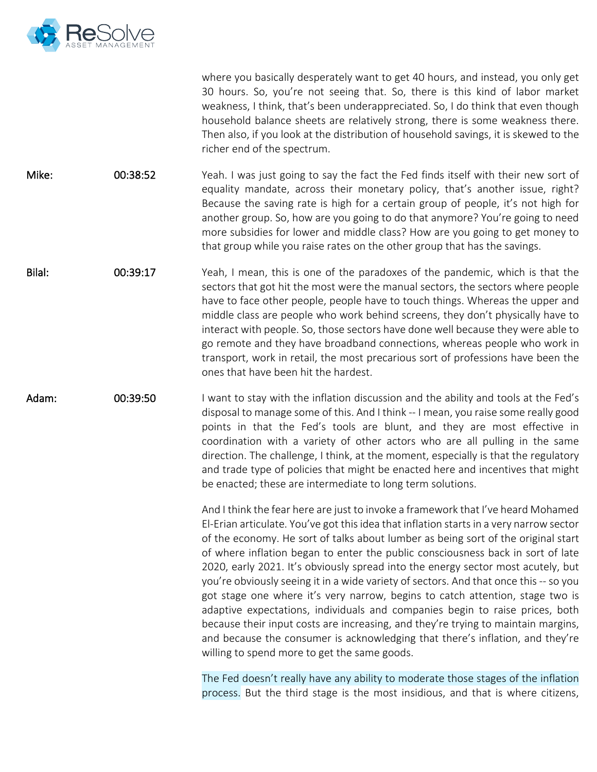

where you basically desperately want to get 40 hours, and instead, you only get 30 hours. So, you're not seeing that. So, there is this kind of labor market weakness, I think, that's been underappreciated. So, I do think that even though household balance sheets are relatively strong, there is some weakness there. Then also, if you look at the distribution of household savings, it is skewed to the richer end of the spectrum.

Mike: 00:38:52 Yeah. I was just going to say the fact the Fed finds itself with their new sort of equality mandate, across their monetary policy, that's another issue, right? Because the saving rate is high for a certain group of people, it's not high for another group. So, how are you going to do that anymore? You're going to need more subsidies for lower and middle class? How are you going to get money to that group while you raise rates on the other group that has the savings.

Bilal: 00:39:17 Yeah, I mean, this is one of the paradoxes of the pandemic, which is that the sectors that got hit the most were the manual sectors, the sectors where people have to face other people, people have to touch things. Whereas the upper and middle class are people who work behind screens, they don't physically have to interact with people. So, those sectors have done well because they were able to go remote and they have broadband connections, whereas people who work in transport, work in retail, the most precarious sort of professions have been the ones that have been hit the hardest.

Adam: 00:39:50 I want to stay with the inflation discussion and the ability and tools at the Fed's disposal to manage some of this. And I think -- I mean, you raise some really good points in that the Fed's tools are blunt, and they are most effective in coordination with a variety of other actors who are all pulling in the same direction. The challenge, I think, at the moment, especially is that the regulatory and trade type of policies that might be enacted here and incentives that might be enacted; these are intermediate to long term solutions.

> And I think the fear here are just to invoke a framework that I've heard Mohamed El-Erian articulate. You've got this idea that inflation starts in a very narrow sector of the economy. He sort of talks about lumber as being sort of the original start of where inflation began to enter the public consciousness back in sort of late 2020, early 2021. It's obviously spread into the energy sector most acutely, but you're obviously seeing it in a wide variety of sectors. And that once this -- so you got stage one where it's very narrow, begins to catch attention, stage two is adaptive expectations, individuals and companies begin to raise prices, both because their input costs are increasing, and they're trying to maintain margins, and because the consumer is acknowledging that there's inflation, and they're willing to spend more to get the same goods.

> The Fed doesn't really have any ability to moderate those stages of the inflation process. But the third stage is the most insidious, and that is where citizens,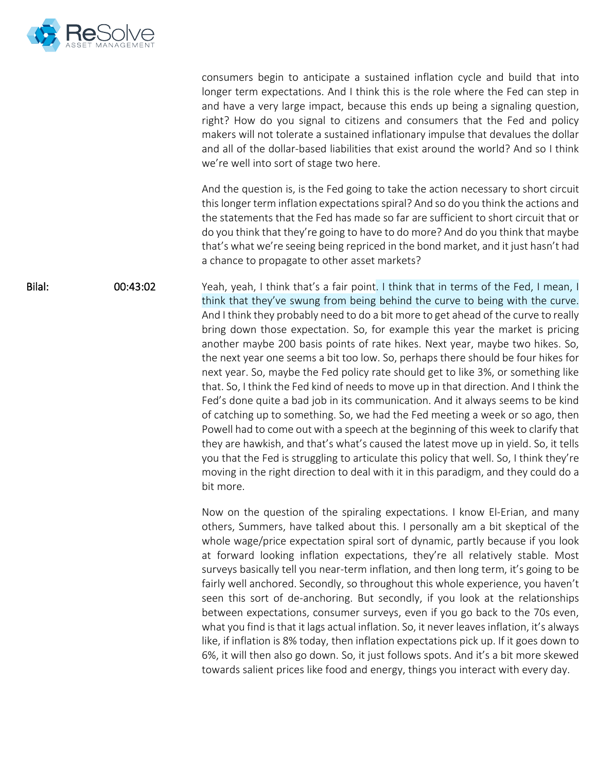

|        |          | consumers begin to anticipate a sustained inflation cycle and build that into<br>longer term expectations. And I think this is the role where the Fed can step in<br>and have a very large impact, because this ends up being a signaling question,<br>right? How do you signal to citizens and consumers that the Fed and policy<br>makers will not tolerate a sustained inflationary impulse that devalues the dollar<br>and all of the dollar-based liabilities that exist around the world? And so I think<br>we're well into sort of stage two here.                                                                                                                                                                                                                                                                                                                                                                                                                                                                                                                                                                                                                                                                                           |
|--------|----------|-----------------------------------------------------------------------------------------------------------------------------------------------------------------------------------------------------------------------------------------------------------------------------------------------------------------------------------------------------------------------------------------------------------------------------------------------------------------------------------------------------------------------------------------------------------------------------------------------------------------------------------------------------------------------------------------------------------------------------------------------------------------------------------------------------------------------------------------------------------------------------------------------------------------------------------------------------------------------------------------------------------------------------------------------------------------------------------------------------------------------------------------------------------------------------------------------------------------------------------------------------|
|        |          | And the question is, is the Fed going to take the action necessary to short circuit<br>this longer term inflation expectations spiral? And so do you think the actions and<br>the statements that the Fed has made so far are sufficient to short circuit that or<br>do you think that they're going to have to do more? And do you think that maybe<br>that's what we're seeing being repriced in the bond market, and it just hasn't had<br>a chance to propagate to other asset markets?                                                                                                                                                                                                                                                                                                                                                                                                                                                                                                                                                                                                                                                                                                                                                         |
| Bilal: | 00:43:02 | Yeah, yeah, I think that's a fair point. I think that in terms of the Fed, I mean, I<br>think that they've swung from being behind the curve to being with the curve.<br>And I think they probably need to do a bit more to get ahead of the curve to really<br>bring down those expectation. So, for example this year the market is pricing<br>another maybe 200 basis points of rate hikes. Next year, maybe two hikes. So,<br>the next year one seems a bit too low. So, perhaps there should be four hikes for<br>next year. So, maybe the Fed policy rate should get to like 3%, or something like<br>that. So, I think the Fed kind of needs to move up in that direction. And I think the<br>Fed's done quite a bad job in its communication. And it always seems to be kind<br>of catching up to something. So, we had the Fed meeting a week or so ago, then<br>Powell had to come out with a speech at the beginning of this week to clarify that<br>they are hawkish, and that's what's caused the latest move up in yield. So, it tells<br>you that the Fed is struggling to articulate this policy that well. So, I think they're<br>moving in the right direction to deal with it in this paradigm, and they could do a<br>bit more. |
|        |          | Now on the question of the spiraling expectations. I know El-Erian, and many<br>others, Summers, have talked about this. I personally am a bit skeptical of the<br>whole wage/price expectation spiral sort of dynamic partly because if you look                                                                                                                                                                                                                                                                                                                                                                                                                                                                                                                                                                                                                                                                                                                                                                                                                                                                                                                                                                                                   |

whole wage/price expectation spiral sort of dynamic, partly because if you look at forward looking inflation expectations, they're all relatively stable. Most surveys basically tell you near-term inflation, and then long term, it's going to be fairly well anchored. Secondly, so throughout this whole experience, you haven't seen this sort of de-anchoring. But secondly, if you look at the relationships between expectations, consumer surveys, even if you go back to the 70s even, what you find is that it lags actual inflation. So, it never leaves inflation, it's always like, if inflation is 8% today, then inflation expectations pick up. If it goes down to 6%, it will then also go down. So, it just follows spots. And it's a bit more skewed towards salient prices like food and energy, things you interact with every day.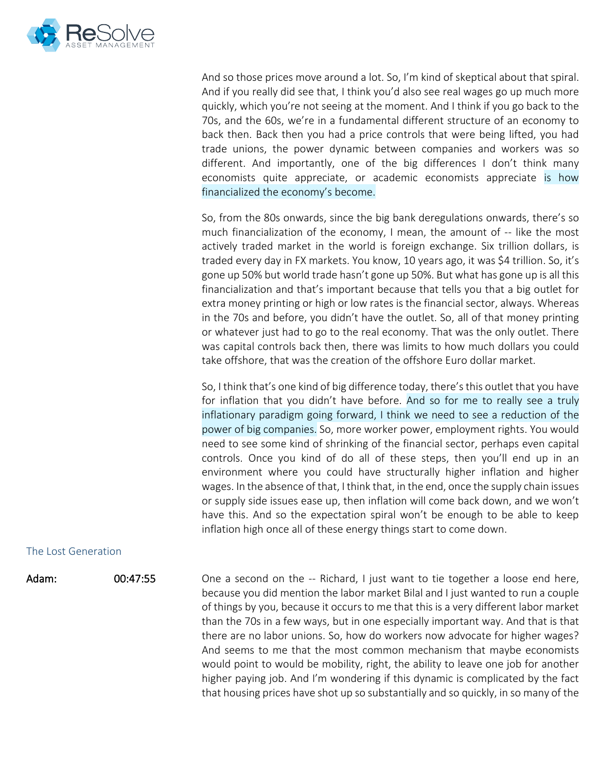

And so those prices move around a lot. So, I'm kind of skeptical about that spiral. And if you really did see that, I think you'd also see real wages go up much more quickly, which you're not seeing at the moment. And I think if you go back to the 70s, and the 60s, we're in a fundamental different structure of an economy to back then. Back then you had a price controls that were being lifted, you had trade unions, the power dynamic between companies and workers was so different. And importantly, one of the big differences I don't think many economists quite appreciate, or academic economists appreciate is how financialized the economy's become.

So, from the 80s onwards, since the big bank deregulations onwards, there's so much financialization of the economy, I mean, the amount of -- like the most actively traded market in the world is foreign exchange. Six trillion dollars, is traded every day in FX markets. You know, 10 years ago, it was \$4 trillion. So, it's gone up 50% but world trade hasn't gone up 50%. But what has gone up is all this financialization and that's important because that tells you that a big outlet for extra money printing or high or low rates is the financial sector, always. Whereas in the 70s and before, you didn't have the outlet. So, all of that money printing or whatever just had to go to the real economy. That was the only outlet. There was capital controls back then, there was limits to how much dollars you could take offshore, that was the creation of the offshore Euro dollar market.

So, I think that's one kind of big difference today, there's this outlet that you have for inflation that you didn't have before. And so for me to really see a truly inflationary paradigm going forward, I think we need to see a reduction of the power of big companies. So, more worker power, employment rights. You would need to see some kind of shrinking of the financial sector, perhaps even capital controls. Once you kind of do all of these steps, then you'll end up in an environment where you could have structurally higher inflation and higher wages. In the absence of that, I think that, in the end, once the supply chain issues or supply side issues ease up, then inflation will come back down, and we won't have this. And so the expectation spiral won't be enough to be able to keep inflation high once all of these energy things start to come down.

## The Lost Generation

Adam: 00:47:55 One a second on the -- Richard, I just want to tie together a loose end here, because you did mention the labor market Bilal and I just wanted to run a couple of things by you, because it occurs to me that this is a very different labor market than the 70s in a few ways, but in one especially important way. And that is that there are no labor unions. So, how do workers now advocate for higher wages? And seems to me that the most common mechanism that maybe economists would point to would be mobility, right, the ability to leave one job for another higher paying job. And I'm wondering if this dynamic is complicated by the fact that housing prices have shot up so substantially and so quickly, in so many of the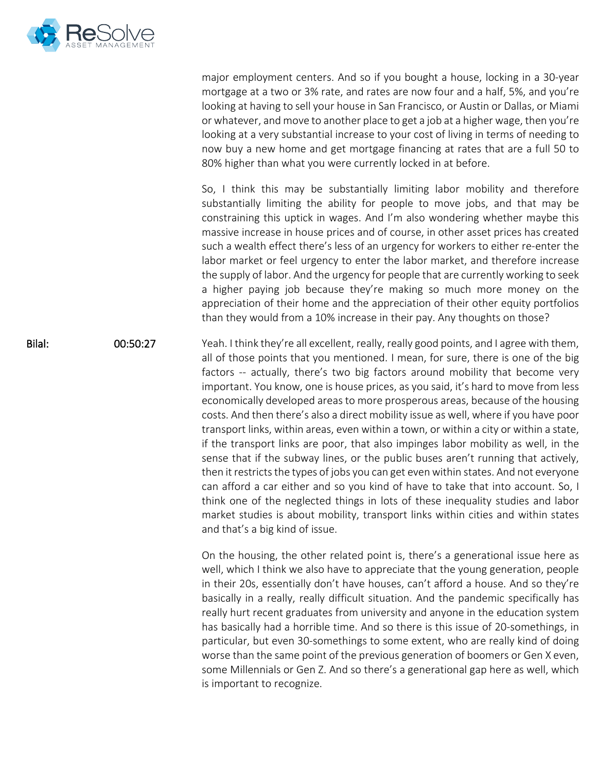

major employment centers. And so if you bought a house, locking in a 30-year mortgage at a two or 3% rate, and rates are now four and a half, 5%, and you're looking at having to sell your house in San Francisco, or Austin or Dallas, or Miami or whatever, and move to another place to get a job at a higher wage, then you're looking at a very substantial increase to your cost of living in terms of needing to now buy a new home and get mortgage financing at rates that are a full 50 to 80% higher than what you were currently locked in at before.

So, I think this may be substantially limiting labor mobility and therefore substantially limiting the ability for people to move jobs, and that may be constraining this uptick in wages. And I'm also wondering whether maybe this massive increase in house prices and of course, in other asset prices has created such a wealth effect there's less of an urgency for workers to either re-enter the labor market or feel urgency to enter the labor market, and therefore increase the supply of labor. And the urgency for people that are currently working to seek a higher paying job because they're making so much more money on the appreciation of their home and the appreciation of their other equity portfolios than they would from a 10% increase in their pay. Any thoughts on those?

Bilal: 00:50:27 Yeah. I think they're all excellent, really, really good points, and I agree with them, all of those points that you mentioned. I mean, for sure, there is one of the big factors -- actually, there's two big factors around mobility that become very important. You know, one is house prices, as you said, it's hard to move from less economically developed areas to more prosperous areas, because of the housing costs. And then there's also a direct mobility issue as well, where if you have poor transport links, within areas, even within a town, or within a city or within a state, if the transport links are poor, that also impinges labor mobility as well, in the sense that if the subway lines, or the public buses aren't running that actively, then it restricts the types of jobs you can get even within states. And not everyone can afford a car either and so you kind of have to take that into account. So, I think one of the neglected things in lots of these inequality studies and labor market studies is about mobility, transport links within cities and within states and that's a big kind of issue.

> On the housing, the other related point is, there's a generational issue here as well, which I think we also have to appreciate that the young generation, people in their 20s, essentially don't have houses, can't afford a house. And so they're basically in a really, really difficult situation. And the pandemic specifically has really hurt recent graduates from university and anyone in the education system has basically had a horrible time. And so there is this issue of 20-somethings, in particular, but even 30-somethings to some extent, who are really kind of doing worse than the same point of the previous generation of boomers or Gen X even, some Millennials or Gen Z. And so there's a generational gap here as well, which is important to recognize.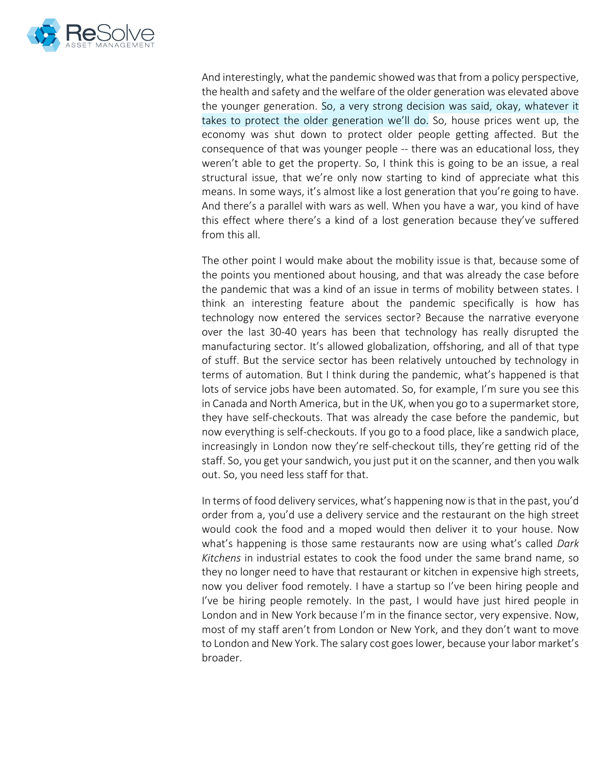

And interestingly, what the pandemic showed was that from a policy perspective, the health and safety and the welfare of the older generation was elevated above the younger generation. So, a very strong decision was said, okay, whatever it takes to protect the older generation we'll do. So, house prices went up, the economy was shut down to protect older people getting affected. But the consequence of that was younger people -- there was an educational loss, they weren't able to get the property. So, I think this is going to be an issue, a real structural issue, that we're only now starting to kind of appreciate what this means. In some ways, it's almost like a lost generation that you're going to have. And there's a parallel with wars as well. When you have a war, you kind of have this effect where there's a kind of a lost generation because they've suffered from this all.

The other point I would make about the mobility issue is that, because some of the points you mentioned about housing, and that was already the case before the pandemic that was a kind of an issue in terms of mobility between states. I think an interesting feature about the pandemic specifically is how has technology now entered the services sector? Because the narrative everyone over the last 30-40 years has been that technology has really disrupted the manufacturing sector. It's allowed globalization, offshoring, and all of that type of stuff. But the service sector has been relatively untouched by technology in terms of automation. But I think during the pandemic, what's happened is that lots of service jobs have been automated. So, for example, I'm sure you see this in Canada and North America, but in the UK, when you go to a supermarket store, they have self-checkouts. That was already the case before the pandemic, but now everything is self-checkouts. If you go to a food place, like a sandwich place, increasingly in London now they're self-checkout tills, they're getting rid of the staff. So, you get your sandwich, you just put it on the scanner, and then you walk out. So, you need less staff for that.

In terms of food delivery services, what's happening now is that in the past, you'd order from a, you'd use a delivery service and the restaurant on the high street would cook the food and a moped would then deliver it to your house. Now what's happening is those same restaurants now are using what's called *Dark Kitchens* in industrial estates to cook the food under the same brand name, so they no longer need to have that restaurant or kitchen in expensive high streets, now you deliver food remotely. I have a startup so I've been hiring people and I've be hiring people remotely. In the past, I would have just hired people in London and in New York because I'm in the finance sector, very expensive. Now, most of my staff aren't from London or New York, and they don't want to move to London and New York. The salary cost goes lower, because your labor market's broader.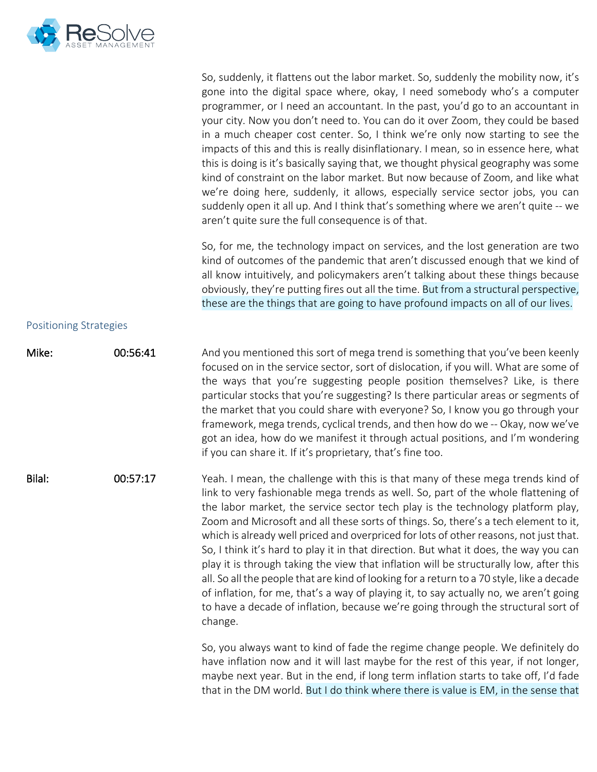

|                               |          | So, suddenly, it flattens out the labor market. So, suddenly the mobility now, it's<br>gone into the digital space where, okay, I need somebody who's a computer<br>programmer, or I need an accountant. In the past, you'd go to an accountant in<br>your city. Now you don't need to. You can do it over Zoom, they could be based<br>in a much cheaper cost center. So, I think we're only now starting to see the<br>impacts of this and this is really disinflationary. I mean, so in essence here, what<br>this is doing is it's basically saying that, we thought physical geography was some<br>kind of constraint on the labor market. But now because of Zoom, and like what<br>we're doing here, suddenly, it allows, especially service sector jobs, you can<br>suddenly open it all up. And I think that's something where we aren't quite -- we<br>aren't quite sure the full consequence is of that. |
|-------------------------------|----------|---------------------------------------------------------------------------------------------------------------------------------------------------------------------------------------------------------------------------------------------------------------------------------------------------------------------------------------------------------------------------------------------------------------------------------------------------------------------------------------------------------------------------------------------------------------------------------------------------------------------------------------------------------------------------------------------------------------------------------------------------------------------------------------------------------------------------------------------------------------------------------------------------------------------|
|                               |          | So, for me, the technology impact on services, and the lost generation are two<br>kind of outcomes of the pandemic that aren't discussed enough that we kind of<br>all know intuitively, and policymakers aren't talking about these things because<br>obviously, they're putting fires out all the time. But from a structural perspective,<br>these are the things that are going to have profound impacts on all of our lives.                                                                                                                                                                                                                                                                                                                                                                                                                                                                                   |
| <b>Positioning Strategies</b> |          |                                                                                                                                                                                                                                                                                                                                                                                                                                                                                                                                                                                                                                                                                                                                                                                                                                                                                                                     |
| Mike:                         | 00:56:41 | And you mentioned this sort of mega trend is something that you've been keenly<br>focused on in the service sector, sort of dislocation, if you will. What are some of<br>the ways that you're suggesting people position themselves? Like, is there<br>particular stocks that you're suggesting? Is there particular areas or segments of<br>the market that you could share with everyone? So, I know you go through your<br>framework, mega trends, cyclical trends, and then how do we -- Okay, now we've<br>got an idea, how do we manifest it through actual positions, and I'm wondering<br>if you can share it. If it's proprietary, that's fine too.                                                                                                                                                                                                                                                       |
| Bilal:                        | 00:57:17 | Yeah. I mean, the challenge with this is that many of these mega trends kind of<br>link to very fashionable mega trends as well. So, part of the whole flattening of<br>the labor market, the service sector tech play is the technology platform play,<br>Zoom and Microsoft and all these sorts of things. So, there's a tech element to it,<br>which is already well priced and overpriced for lots of other reasons, not just that.<br>So, I think it's hard to play it in that direction. But what it does, the way you can<br>play it is through taking the view that inflation will be structurally low, after this<br>all. So all the people that are kind of looking for a return to a 70 style, like a decade<br>of inflation, for me, that's a way of playing it, to say actually no, we aren't going<br>to have a decade of inflation, because we're going through the structural sort of<br>change.    |
|                               |          | So, you always want to kind of fade the regime change people. We definitely do<br>have inflation now and it will last maybe for the rest of this year, if not longer,<br>maybe next year. But in the end, if long term inflation starts to take off, I'd fade<br>that in the DM world. But I do think where there is value is EM, in the sense that                                                                                                                                                                                                                                                                                                                                                                                                                                                                                                                                                                 |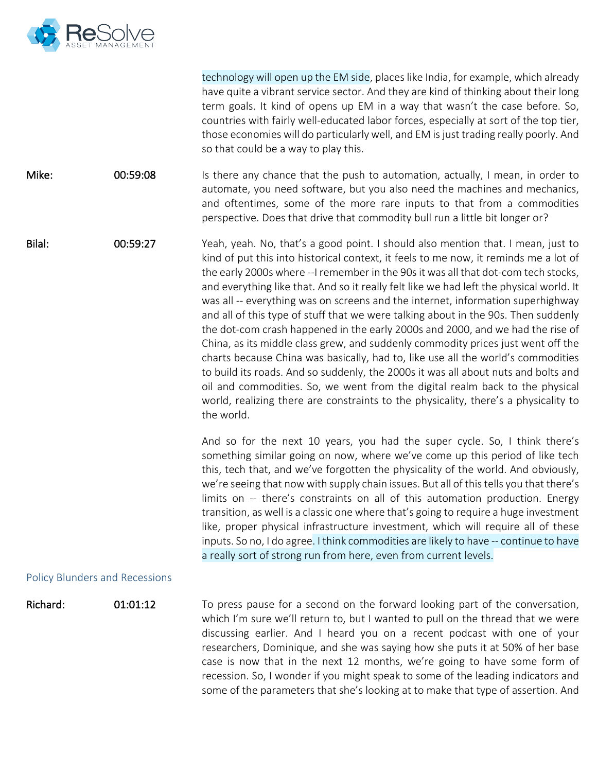

technology will open up the EM side, places like India, for example, which already have quite a vibrant service sector. And they are kind of thinking about their long term goals. It kind of opens up EM in a way that wasn't the case before. So, countries with fairly well-educated labor forces, especially at sort of the top tier, those economies will do particularly well, and EM is just trading really poorly. And so that could be a way to play this.

Mike: 00:59:08 Is there any chance that the push to automation, actually, I mean, in order to automate, you need software, but you also need the machines and mechanics, and oftentimes, some of the more rare inputs to that from a commodities perspective. Does that drive that commodity bull run a little bit longer or?

Bilal: 00:59:27 Yeah, yeah. No, that's a good point. I should also mention that. I mean, just to kind of put this into historical context, it feels to me now, it reminds me a lot of the early 2000s where --I remember in the 90s it was all that dot-com tech stocks, and everything like that. And so it really felt like we had left the physical world. It was all -- everything was on screens and the internet, information superhighway and all of this type of stuff that we were talking about in the 90s. Then suddenly the dot-com crash happened in the early 2000s and 2000, and we had the rise of China, as its middle class grew, and suddenly commodity prices just went off the charts because China was basically, had to, like use all the world's commodities to build its roads. And so suddenly, the 2000s it was all about nuts and bolts and oil and commodities. So, we went from the digital realm back to the physical world, realizing there are constraints to the physicality, there's a physicality to the world.

> And so for the next 10 years, you had the super cycle. So, I think there's something similar going on now, where we've come up this period of like tech this, tech that, and we've forgotten the physicality of the world. And obviously, we're seeing that now with supply chain issues. But all of this tells you that there's limits on -- there's constraints on all of this automation production. Energy transition, as well is a classic one where that's going to require a huge investment like, proper physical infrastructure investment, which will require all of these inputs. So no, I do agree. I think commodities are likely to have -- continue to have a really sort of strong run from here, even from current levels.

### Policy Blunders and Recessions

Richard: 01:01:12 To press pause for a second on the forward looking part of the conversation, which I'm sure we'll return to, but I wanted to pull on the thread that we were discussing earlier. And I heard you on a recent podcast with one of your researchers, Dominique, and she was saying how she puts it at 50% of her base case is now that in the next 12 months, we're going to have some form of recession. So, I wonder if you might speak to some of the leading indicators and some of the parameters that she's looking at to make that type of assertion. And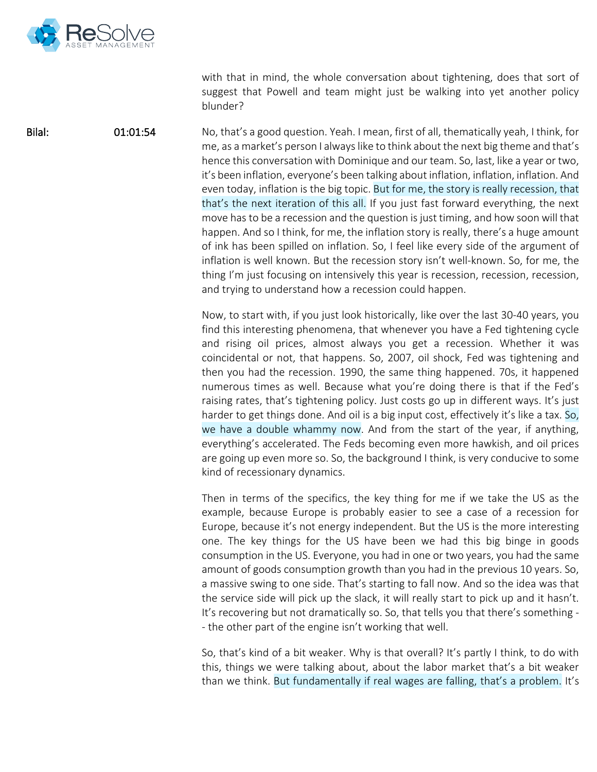

with that in mind, the whole conversation about tightening, does that sort of suggest that Powell and team might just be walking into yet another policy blunder?

Bilal: 01:01:54 No, that's a good question. Yeah. I mean, first of all, thematically yeah, I think, for me, as a market's person I always like to think about the next big theme and that's hence this conversation with Dominique and our team. So, last, like a year or two, it's been inflation, everyone's been talking about inflation, inflation, inflation. And even today, inflation is the big topic. But for me, the story is really recession, that that's the next iteration of this all. If you just fast forward everything, the next move has to be a recession and the question is just timing, and how soon will that happen. And so I think, for me, the inflation story is really, there's a huge amount of ink has been spilled on inflation. So, I feel like every side of the argument of inflation is well known. But the recession story isn't well-known. So, for me, the thing I'm just focusing on intensively this year is recession, recession, recession, and trying to understand how a recession could happen.

> Now, to start with, if you just look historically, like over the last 30-40 years, you find this interesting phenomena, that whenever you have a Fed tightening cycle and rising oil prices, almost always you get a recession. Whether it was coincidental or not, that happens. So, 2007, oil shock, Fed was tightening and then you had the recession. 1990, the same thing happened. 70s, it happened numerous times as well. Because what you're doing there is that if the Fed's raising rates, that's tightening policy. Just costs go up in different ways. It's just harder to get things done. And oil is a big input cost, effectively it's like a tax. So, we have a double whammy now. And from the start of the year, if anything, everything's accelerated. The Feds becoming even more hawkish, and oil prices are going up even more so. So, the background I think, is very conducive to some kind of recessionary dynamics.

> Then in terms of the specifics, the key thing for me if we take the US as the example, because Europe is probably easier to see a case of a recession for Europe, because it's not energy independent. But the US is the more interesting one. The key things for the US have been we had this big binge in goods consumption in the US. Everyone, you had in one or two years, you had the same amount of goods consumption growth than you had in the previous 10 years. So, a massive swing to one side. That's starting to fall now. And so the idea was that the service side will pick up the slack, it will really start to pick up and it hasn't. It's recovering but not dramatically so. So, that tells you that there's something - - the other part of the engine isn't working that well.

> So, that's kind of a bit weaker. Why is that overall? It's partly I think, to do with this, things we were talking about, about the labor market that's a bit weaker than we think. But fundamentally if real wages are falling, that's a problem. It's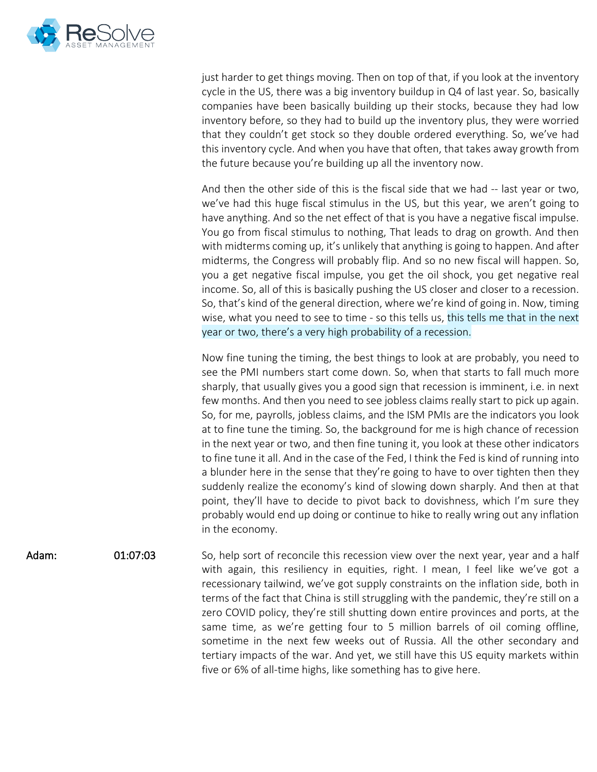

just harder to get things moving. Then on top of that, if you look at the inventory cycle in the US, there was a big inventory buildup in Q4 of last year. So, basically companies have been basically building up their stocks, because they had low inventory before, so they had to build up the inventory plus, they were worried that they couldn't get stock so they double ordered everything. So, we've had this inventory cycle. And when you have that often, that takes away growth from the future because you're building up all the inventory now.

And then the other side of this is the fiscal side that we had -- last year or two, we've had this huge fiscal stimulus in the US, but this year, we aren't going to have anything. And so the net effect of that is you have a negative fiscal impulse. You go from fiscal stimulus to nothing, That leads to drag on growth. And then with midterms coming up, it's unlikely that anything is going to happen. And after midterms, the Congress will probably flip. And so no new fiscal will happen. So, you a get negative fiscal impulse, you get the oil shock, you get negative real income. So, all of this is basically pushing the US closer and closer to a recession. So, that's kind of the general direction, where we're kind of going in. Now, timing wise, what you need to see to time - so this tells us, this tells me that in the next year or two, there's a very high probability of a recession.

Now fine tuning the timing, the best things to look at are probably, you need to see the PMI numbers start come down. So, when that starts to fall much more sharply, that usually gives you a good sign that recession is imminent, i.e. in next few months. And then you need to see jobless claims really start to pick up again. So, for me, payrolls, jobless claims, and the ISM PMIs are the indicators you look at to fine tune the timing. So, the background for me is high chance of recession in the next year or two, and then fine tuning it, you look at these other indicators to fine tune it all. And in the case of the Fed, I think the Fed is kind of running into a blunder here in the sense that they're going to have to over tighten then they suddenly realize the economy's kind of slowing down sharply. And then at that point, they'll have to decide to pivot back to dovishness, which I'm sure they probably would end up doing or continue to hike to really wring out any inflation in the economy.

Adam: 01:07:03 So, help sort of reconcile this recession view over the next year, year and a half with again, this resiliency in equities, right. I mean, I feel like we've got a recessionary tailwind, we've got supply constraints on the inflation side, both in terms of the fact that China is still struggling with the pandemic, they're still on a zero COVID policy, they're still shutting down entire provinces and ports, at the same time, as we're getting four to 5 million barrels of oil coming offline, sometime in the next few weeks out of Russia. All the other secondary and tertiary impacts of the war. And yet, we still have this US equity markets within five or 6% of all-time highs, like something has to give here.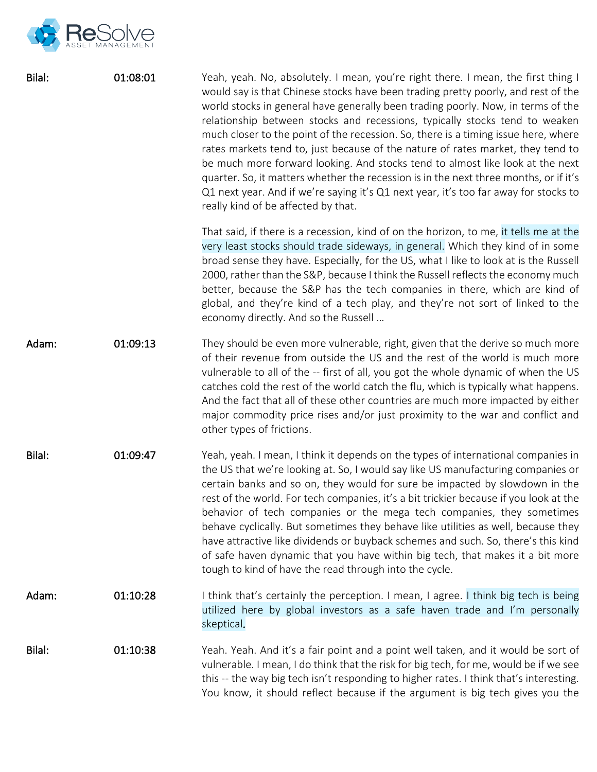

| Bilal: | 01:08:01 | Yeah, yeah. No, absolutely. I mean, you're right there. I mean, the first thing I<br>would say is that Chinese stocks have been trading pretty poorly, and rest of the<br>world stocks in general have generally been trading poorly. Now, in terms of the<br>relationship between stocks and recessions, typically stocks tend to weaken<br>much closer to the point of the recession. So, there is a timing issue here, where<br>rates markets tend to, just because of the nature of rates market, they tend to<br>be much more forward looking. And stocks tend to almost like look at the next<br>quarter. So, it matters whether the recession is in the next three months, or if it's<br>Q1 next year. And if we're saying it's Q1 next year, it's too far away for stocks to<br>really kind of be affected by that. |
|--------|----------|-----------------------------------------------------------------------------------------------------------------------------------------------------------------------------------------------------------------------------------------------------------------------------------------------------------------------------------------------------------------------------------------------------------------------------------------------------------------------------------------------------------------------------------------------------------------------------------------------------------------------------------------------------------------------------------------------------------------------------------------------------------------------------------------------------------------------------|
|        |          | That said, if there is a recession, kind of on the horizon, to me, it tells me at the<br>very least stocks should trade sideways, in general. Which they kind of in some<br>broad sense they have. Especially, for the US, what I like to look at is the Russell<br>2000, rather than the S&P, because I think the Russell reflects the economy much<br>better, because the S&P has the tech companies in there, which are kind of<br>global, and they're kind of a tech play, and they're not sort of linked to the<br>economy directly. And so the Russell                                                                                                                                                                                                                                                                |
| Adam:  | 01:09:13 | They should be even more vulnerable, right, given that the derive so much more<br>of their revenue from outside the US and the rest of the world is much more<br>vulnerable to all of the -- first of all, you got the whole dynamic of when the US<br>catches cold the rest of the world catch the flu, which is typically what happens.<br>And the fact that all of these other countries are much more impacted by either<br>major commodity price rises and/or just proximity to the war and conflict and<br>other types of frictions.                                                                                                                                                                                                                                                                                  |
| Bilal: | 01:09:47 | Yeah, yeah. I mean, I think it depends on the types of international companies in<br>the US that we're looking at. So, I would say like US manufacturing companies or<br>certain banks and so on, they would for sure be impacted by slowdown in the<br>rest of the world. For tech companies, it's a bit trickier because if you look at the<br>behavior of tech companies or the mega tech companies, they sometimes<br>behave cyclically. But sometimes they behave like utilities as well, because they<br>have attractive like dividends or buyback schemes and such. So, there's this kind<br>of safe haven dynamic that you have within big tech, that makes it a bit more<br>tough to kind of have the read through into the cycle.                                                                                 |
| Adam:  | 01:10:28 | I think that's certainly the perception. I mean, I agree. I think big tech is being<br>utilized here by global investors as a safe haven trade and I'm personally<br>skeptical.                                                                                                                                                                                                                                                                                                                                                                                                                                                                                                                                                                                                                                             |
| Bilal: | 01:10:38 | Yeah. Yeah. And it's a fair point and a point well taken, and it would be sort of<br>vulnerable. I mean, I do think that the risk for big tech, for me, would be if we see<br>this -- the way big tech isn't responding to higher rates. I think that's interesting.<br>You know, it should reflect because if the argument is big tech gives you the                                                                                                                                                                                                                                                                                                                                                                                                                                                                       |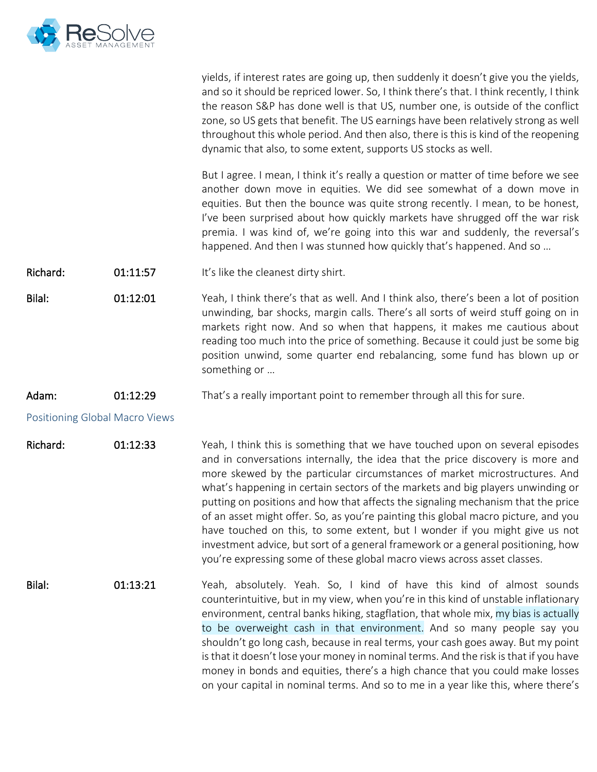

|          |                                | yields, if interest rates are going up, then suddenly it doesn't give you the yields,<br>and so it should be repriced lower. So, I think there's that. I think recently, I think<br>the reason S&P has done well is that US, number one, is outside of the conflict<br>zone, so US gets that benefit. The US earnings have been relatively strong as well<br>throughout this whole period. And then also, there is this is kind of the reopening<br>dynamic that also, to some extent, supports US stocks as well.                                                                                                                                                                                                                                        |
|----------|--------------------------------|-----------------------------------------------------------------------------------------------------------------------------------------------------------------------------------------------------------------------------------------------------------------------------------------------------------------------------------------------------------------------------------------------------------------------------------------------------------------------------------------------------------------------------------------------------------------------------------------------------------------------------------------------------------------------------------------------------------------------------------------------------------|
|          |                                | But I agree. I mean, I think it's really a question or matter of time before we see<br>another down move in equities. We did see somewhat of a down move in<br>equities. But then the bounce was quite strong recently. I mean, to be honest,<br>I've been surprised about how quickly markets have shrugged off the war risk<br>premia. I was kind of, we're going into this war and suddenly, the reversal's<br>happened. And then I was stunned how quickly that's happened. And so                                                                                                                                                                                                                                                                    |
| Richard: | 01:11:57                       | It's like the cleanest dirty shirt.                                                                                                                                                                                                                                                                                                                                                                                                                                                                                                                                                                                                                                                                                                                       |
| Bilal:   | 01:12:01                       | Yeah, I think there's that as well. And I think also, there's been a lot of position<br>unwinding, bar shocks, margin calls. There's all sorts of weird stuff going on in<br>markets right now. And so when that happens, it makes me cautious about<br>reading too much into the price of something. Because it could just be some big<br>position unwind, some quarter end rebalancing, some fund has blown up or<br>something or                                                                                                                                                                                                                                                                                                                       |
| Adam:    | 01:12:29                       | That's a really important point to remember through all this for sure.                                                                                                                                                                                                                                                                                                                                                                                                                                                                                                                                                                                                                                                                                    |
|          | Positioning Global Macro Views |                                                                                                                                                                                                                                                                                                                                                                                                                                                                                                                                                                                                                                                                                                                                                           |
| Richard: | 01:12:33                       | Yeah, I think this is something that we have touched upon on several episodes<br>and in conversations internally, the idea that the price discovery is more and<br>more skewed by the particular circumstances of market microstructures. And<br>what's happening in certain sectors of the markets and big players unwinding or<br>putting on positions and how that affects the signaling mechanism that the price<br>of an asset might offer. So, as you're painting this global macro picture, and you<br>have touched on this, to some extent, but I wonder if you might give us not<br>investment advice, but sort of a general framework or a general positioning, how<br>you're expressing some of these global macro views across asset classes. |
| Bilal:   | 01:13:21                       | Yeah, absolutely. Yeah. So, I kind of have this kind of almost sounds<br>counterintuitive, but in my view, when you're in this kind of unstable inflationary<br>environment, central banks hiking, stagflation, that whole mix, my bias is actually<br>to be overweight cash in that environment. And so many people say you<br>shouldn't go long cash, because in real terms, your cash goes away. But my point<br>is that it doesn't lose your money in nominal terms. And the risk is that if you have<br>money in bonds and equities, there's a high chance that you could make losses                                                                                                                                                                |

on your capital in nominal terms. And so to me in a year like this, where there's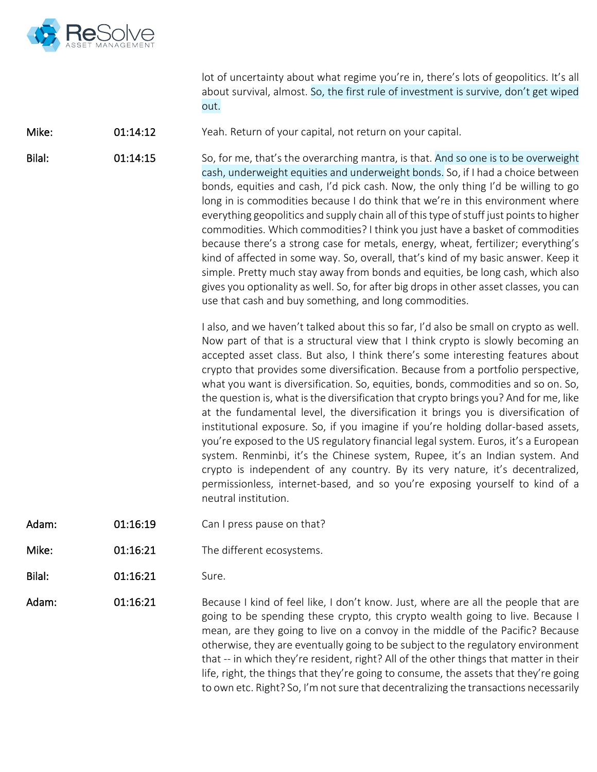

lot of uncertainty about what regime you're in, there's lots of geopolitics. It's all about survival, almost. So, the first rule of investment is survive, don't get wiped out.

Mike: 01:14:12 Yeah. Return of your capital, not return on your capital.

Bilal: 01:14:15 So, for me, that's the overarching mantra, is that. And so one is to be overweight cash, underweight equities and underweight bonds. So, if I had a choice between bonds, equities and cash, I'd pick cash. Now, the only thing I'd be willing to go long in is commodities because I do think that we're in this environment where everything geopolitics and supply chain all of this type of stuff just points to higher commodities. Which commodities? I think you just have a basket of commodities because there's a strong case for metals, energy, wheat, fertilizer; everything's kind of affected in some way. So, overall, that's kind of my basic answer. Keep it simple. Pretty much stay away from bonds and equities, be long cash, which also gives you optionality as well. So, for after big drops in other asset classes, you can use that cash and buy something, and long commodities.

> I also, and we haven't talked about this so far, I'd also be small on crypto as well. Now part of that is a structural view that I think crypto is slowly becoming an accepted asset class. But also, I think there's some interesting features about crypto that provides some diversification. Because from a portfolio perspective, what you want is diversification. So, equities, bonds, commodities and so on. So, the question is, what is the diversification that crypto brings you? And for me, like at the fundamental level, the diversification it brings you is diversification of institutional exposure. So, if you imagine if you're holding dollar-based assets, you're exposed to the US regulatory financial legal system. Euros, it's a European system. Renminbi, it's the Chinese system, Rupee, it's an Indian system. And crypto is independent of any country. By its very nature, it's decentralized, permissionless, internet-based, and so you're exposing yourself to kind of a neutral institution.

- Adam: 01:16:19 Can I press pause on that?
- Mike: 01:16:21 The different ecosystems.
- **Bilal:** 01:16:21 Sure.

Adam: 01:16:21 Because I kind of feel like, I don't know. Just, where are all the people that are going to be spending these crypto, this crypto wealth going to live. Because I mean, are they going to live on a convoy in the middle of the Pacific? Because otherwise, they are eventually going to be subject to the regulatory environment that -- in which they're resident, right? All of the other things that matter in their life, right, the things that they're going to consume, the assets that they're going to own etc. Right? So, I'm not sure that decentralizing the transactions necessarily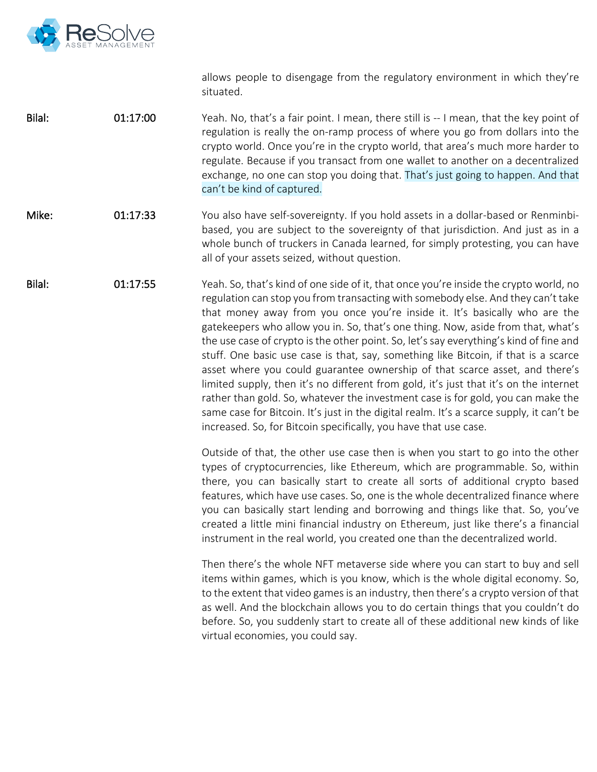

allows people to disengage from the regulatory environment in which they're situated.

Bilal: 01:17:00 Yeah. No, that's a fair point. I mean, there still is -- I mean, that the key point of regulation is really the on-ramp process of where you go from dollars into the crypto world. Once you're in the crypto world, that area's much more harder to regulate. Because if you transact from one wallet to another on a decentralized exchange, no one can stop you doing that. That's just going to happen. And that can't be kind of captured.

Mike: 01:17:33 You also have self-sovereignty. If you hold assets in a dollar-based or Renminbibased, you are subject to the sovereignty of that jurisdiction. And just as in a whole bunch of truckers in Canada learned, for simply protesting, you can have all of your assets seized, without question.

Bilal: 01:17:55 Yeah. So, that's kind of one side of it, that once you're inside the crypto world, no regulation can stop you from transacting with somebody else. And they can't take that money away from you once you're inside it. It's basically who are the gatekeepers who allow you in. So, that's one thing. Now, aside from that, what's the use case of crypto is the other point. So, let's say everything's kind of fine and stuff. One basic use case is that, say, something like Bitcoin, if that is a scarce asset where you could guarantee ownership of that scarce asset, and there's limited supply, then it's no different from gold, it's just that it's on the internet rather than gold. So, whatever the investment case is for gold, you can make the same case for Bitcoin. It's just in the digital realm. It's a scarce supply, it can't be increased. So, for Bitcoin specifically, you have that use case.

> Outside of that, the other use case then is when you start to go into the other types of cryptocurrencies, like Ethereum, which are programmable. So, within there, you can basically start to create all sorts of additional crypto based features, which have use cases. So, one is the whole decentralized finance where you can basically start lending and borrowing and things like that. So, you've created a little mini financial industry on Ethereum, just like there's a financial instrument in the real world, you created one than the decentralized world.

> Then there's the whole NFT metaverse side where you can start to buy and sell items within games, which is you know, which is the whole digital economy. So, to the extent that video games is an industry, then there's a crypto version of that as well. And the blockchain allows you to do certain things that you couldn't do before. So, you suddenly start to create all of these additional new kinds of like virtual economies, you could say.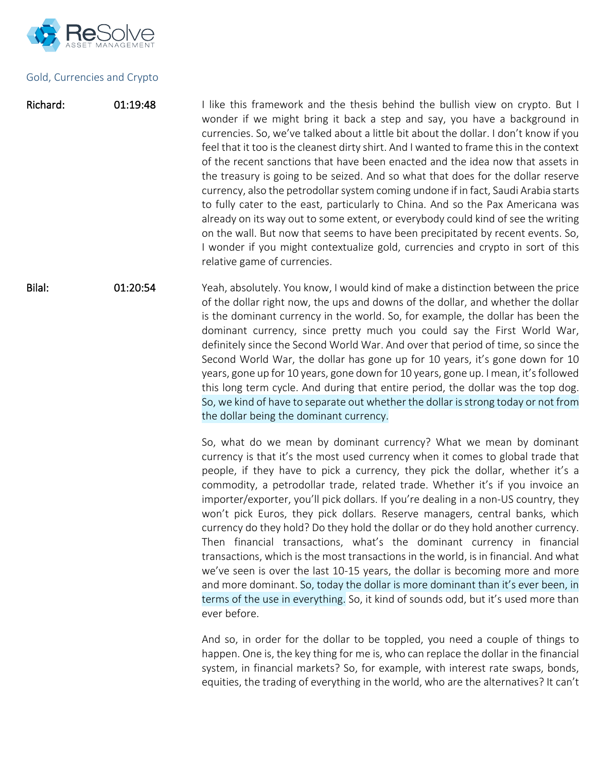

## Gold, Currencies and Crypto

Richard: 01:19:48 I like this framework and the thesis behind the bullish view on crypto. But I wonder if we might bring it back a step and say, you have a background in currencies. So, we've talked about a little bit about the dollar. I don't know if you feel that it too is the cleanest dirty shirt. And I wanted to frame this in the context of the recent sanctions that have been enacted and the idea now that assets in the treasury is going to be seized. And so what that does for the dollar reserve currency, also the petrodollar system coming undone if in fact, Saudi Arabia starts to fully cater to the east, particularly to China. And so the Pax Americana was already on its way out to some extent, or everybody could kind of see the writing on the wall. But now that seems to have been precipitated by recent events. So, I wonder if you might contextualize gold, currencies and crypto in sort of this relative game of currencies.

Bilal: 01:20:54 Yeah, absolutely. You know, I would kind of make a distinction between the price of the dollar right now, the ups and downs of the dollar, and whether the dollar is the dominant currency in the world. So, for example, the dollar has been the dominant currency, since pretty much you could say the First World War, definitely since the Second World War. And over that period of time, so since the Second World War, the dollar has gone up for 10 years, it's gone down for 10 years, gone up for 10 years, gone down for 10 years, gone up. I mean, it's followed this long term cycle. And during that entire period, the dollar was the top dog. So, we kind of have to separate out whether the dollar is strong today or not from the dollar being the dominant currency.

> So, what do we mean by dominant currency? What we mean by dominant currency is that it's the most used currency when it comes to global trade that people, if they have to pick a currency, they pick the dollar, whether it's a commodity, a petrodollar trade, related trade. Whether it's if you invoice an importer/exporter, you'll pick dollars. If you're dealing in a non-US country, they won't pick Euros, they pick dollars. Reserve managers, central banks, which currency do they hold? Do they hold the dollar or do they hold another currency. Then financial transactions, what's the dominant currency in financial transactions, which is the most transactions in the world, is in financial. And what we've seen is over the last 10-15 years, the dollar is becoming more and more and more dominant. So, today the dollar is more dominant than it's ever been, in terms of the use in everything. So, it kind of sounds odd, but it's used more than ever before.

> And so, in order for the dollar to be toppled, you need a couple of things to happen. One is, the key thing for me is, who can replace the dollar in the financial system, in financial markets? So, for example, with interest rate swaps, bonds, equities, the trading of everything in the world, who are the alternatives? It can't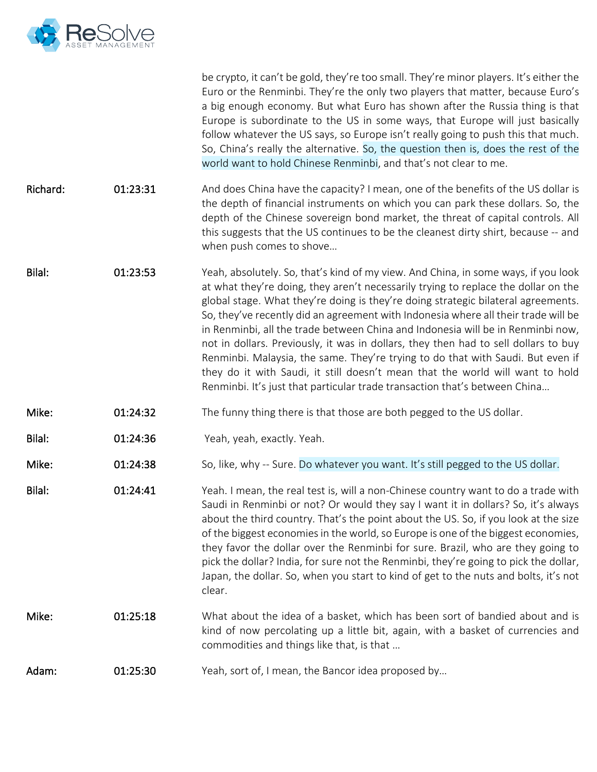

| be crypto, it can't be gold, they're too small. They're minor players. It's either the |
|----------------------------------------------------------------------------------------|
| Euro or the Renminbi. They're the only two players that matter, because Euro's         |
| a big enough economy. But what Euro has shown after the Russia thing is that           |
| Europe is subordinate to the US in some ways, that Europe will just basically          |
| follow whatever the US says, so Europe isn't really going to push this that much.      |
| So, China's really the alternative. So, the question then is, does the rest of the     |
| world want to hold Chinese Renminbi, and that's not clear to me.                       |

Richard: 01:23:31 And does China have the capacity? I mean, one of the benefits of the US dollar is the depth of financial instruments on which you can park these dollars. So, the depth of the Chinese sovereign bond market, the threat of capital controls. All this suggests that the US continues to be the cleanest dirty shirt, because -- and when push comes to shove…

Bilal: 01:23:53 Yeah, absolutely. So, that's kind of my view. And China, in some ways, if you look at what they're doing, they aren't necessarily trying to replace the dollar on the global stage. What they're doing is they're doing strategic bilateral agreements. So, they've recently did an agreement with Indonesia where all their trade will be in Renminbi, all the trade between China and Indonesia will be in Renminbi now, not in dollars. Previously, it was in dollars, they then had to sell dollars to buy Renminbi. Malaysia, the same. They're trying to do that with Saudi. But even if they do it with Saudi, it still doesn't mean that the world will want to hold Renminbi. It's just that particular trade transaction that's between China…

Mike: 01:24:32 The funny thing there is that those are both pegged to the US dollar.

Bilal: 01:24:36 Yeah, yeah, exactly. Yeah.

Mike: 01:24:38 So, like, why -- Sure. Do whatever you want. It's still pegged to the US dollar.

Bilal: 01:24:41 Yeah. I mean, the real test is, will a non-Chinese country want to do a trade with Saudi in Renminbi or not? Or would they say I want it in dollars? So, it's always about the third country. That's the point about the US. So, if you look at the size of the biggest economies in the world, so Europe is one of the biggest economies, they favor the dollar over the Renminbi for sure. Brazil, who are they going to pick the dollar? India, for sure not the Renminbi, they're going to pick the dollar, Japan, the dollar. So, when you start to kind of get to the nuts and bolts, it's not clear.

Mike: 01:25:18 What about the idea of a basket, which has been sort of bandied about and is kind of now percolating up a little bit, again, with a basket of currencies and commodities and things like that, is that …

Adam: 01:25:30 Yeah, sort of, I mean, the Bancor idea proposed by...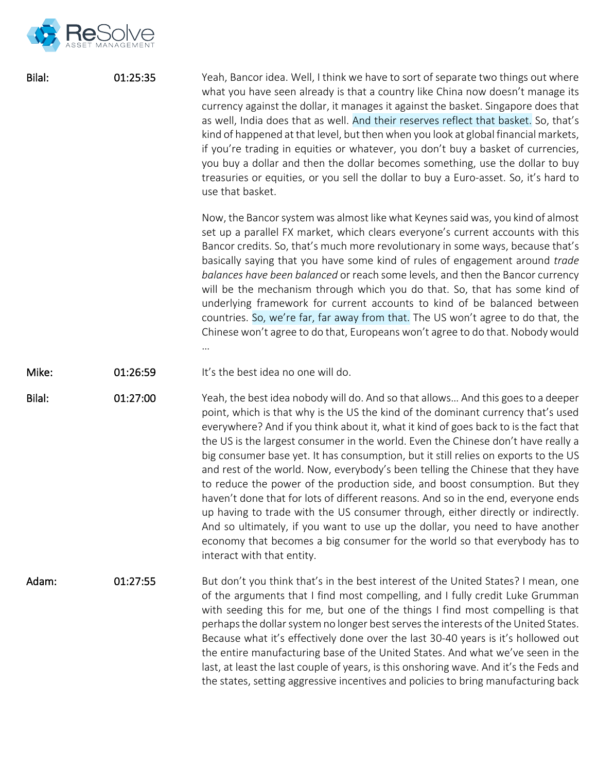

| Bilal: | 01:25:35 | Yeah, Bancor idea. Well, I think we have to sort of separate two things out where<br>what you have seen already is that a country like China now doesn't manage its<br>currency against the dollar, it manages it against the basket. Singapore does that<br>as well, India does that as well. And their reserves reflect that basket. So, that's<br>kind of happened at that level, but then when you look at global financial markets,<br>if you're trading in equities or whatever, you don't buy a basket of currencies,<br>you buy a dollar and then the dollar becomes something, use the dollar to buy<br>treasuries or equities, or you sell the dollar to buy a Euro-asset. So, it's hard to<br>use that basket.                                                                                                                                                                                                                                                       |
|--------|----------|---------------------------------------------------------------------------------------------------------------------------------------------------------------------------------------------------------------------------------------------------------------------------------------------------------------------------------------------------------------------------------------------------------------------------------------------------------------------------------------------------------------------------------------------------------------------------------------------------------------------------------------------------------------------------------------------------------------------------------------------------------------------------------------------------------------------------------------------------------------------------------------------------------------------------------------------------------------------------------|
|        |          | Now, the Bancor system was almost like what Keynes said was, you kind of almost<br>set up a parallel FX market, which clears everyone's current accounts with this<br>Bancor credits. So, that's much more revolutionary in some ways, because that's<br>basically saying that you have some kind of rules of engagement around trade<br>balances have been balanced or reach some levels, and then the Bancor currency<br>will be the mechanism through which you do that. So, that has some kind of<br>underlying framework for current accounts to kind of be balanced between<br>countries. So, we're far, far away from that. The US won't agree to do that, the<br>Chinese won't agree to do that, Europeans won't agree to do that. Nobody would<br>                                                                                                                                                                                                                     |
| Mike:  | 01:26:59 | It's the best idea no one will do.                                                                                                                                                                                                                                                                                                                                                                                                                                                                                                                                                                                                                                                                                                                                                                                                                                                                                                                                              |
| Bilal: | 01:27:00 | Yeah, the best idea nobody will do. And so that allows And this goes to a deeper<br>point, which is that why is the US the kind of the dominant currency that's used<br>everywhere? And if you think about it, what it kind of goes back to is the fact that<br>the US is the largest consumer in the world. Even the Chinese don't have really a<br>big consumer base yet. It has consumption, but it still relies on exports to the US<br>and rest of the world. Now, everybody's been telling the Chinese that they have<br>to reduce the power of the production side, and boost consumption. But they<br>haven't done that for lots of different reasons. And so in the end, everyone ends<br>up having to trade with the US consumer through, either directly or indirectly.<br>And so ultimately, if you want to use up the dollar, you need to have another<br>economy that becomes a big consumer for the world so that everybody has to<br>interact with that entity. |
| Adam:  | 01:27:55 | But don't you think that's in the best interest of the United States? I mean, one<br>of the arguments that I find most compelling, and I fully credit Luke Grumman<br>with seeding this for me, but one of the things I find most compelling is that<br>perhaps the dollar system no longer best serves the interests of the United States.<br>Because what it's effectively done over the last 30-40 years is it's hollowed out<br>the entire manufacturing base of the United States. And what we've seen in the<br>last, at least the last couple of years, is this onshoring wave. And it's the Feds and<br>the states, setting aggressive incentives and policies to bring manufacturing back                                                                                                                                                                                                                                                                              |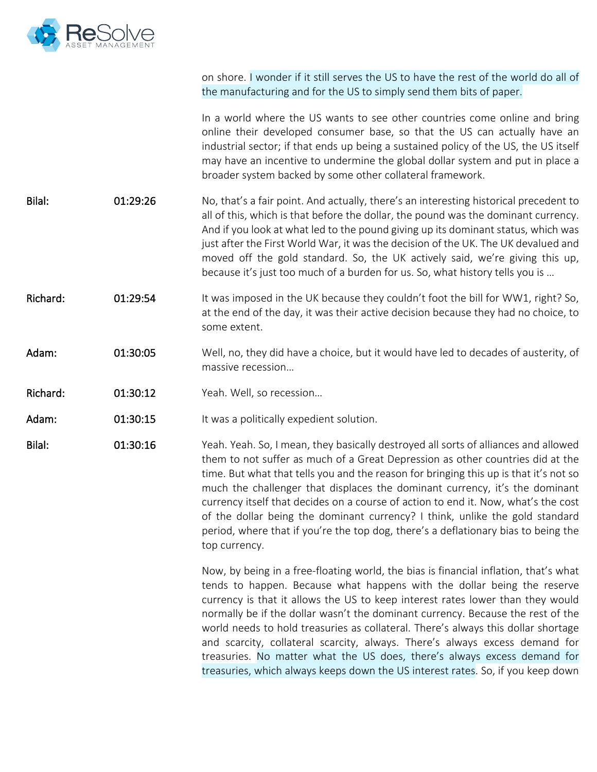

|          |          | on shore. I wonder if it still serves the US to have the rest of the world do all of<br>the manufacturing and for the US to simply send them bits of paper.                                                                                                                                                                                                                                                                                                                                                                                                                                                                |
|----------|----------|----------------------------------------------------------------------------------------------------------------------------------------------------------------------------------------------------------------------------------------------------------------------------------------------------------------------------------------------------------------------------------------------------------------------------------------------------------------------------------------------------------------------------------------------------------------------------------------------------------------------------|
|          |          | In a world where the US wants to see other countries come online and bring<br>online their developed consumer base, so that the US can actually have an<br>industrial sector; if that ends up being a sustained policy of the US, the US itself<br>may have an incentive to undermine the global dollar system and put in place a<br>broader system backed by some other collateral framework.                                                                                                                                                                                                                             |
| Bilal:   | 01:29:26 | No, that's a fair point. And actually, there's an interesting historical precedent to<br>all of this, which is that before the dollar, the pound was the dominant currency.<br>And if you look at what led to the pound giving up its dominant status, which was<br>just after the First World War, it was the decision of the UK. The UK devalued and<br>moved off the gold standard. So, the UK actively said, we're giving this up,<br>because it's just too much of a burden for us. So, what history tells you is                                                                                                     |
| Richard: | 01:29:54 | It was imposed in the UK because they couldn't foot the bill for WW1, right? So,<br>at the end of the day, it was their active decision because they had no choice, to<br>some extent.                                                                                                                                                                                                                                                                                                                                                                                                                                     |
| Adam:    | 01:30:05 | Well, no, they did have a choice, but it would have led to decades of austerity, of<br>massive recession                                                                                                                                                                                                                                                                                                                                                                                                                                                                                                                   |
| Richard: | 01:30:12 | Yeah. Well, so recession                                                                                                                                                                                                                                                                                                                                                                                                                                                                                                                                                                                                   |
| Adam:    | 01:30:15 | It was a politically expedient solution.                                                                                                                                                                                                                                                                                                                                                                                                                                                                                                                                                                                   |
| Bilal:   | 01:30:16 | Yeah. Yeah. So, I mean, they basically destroyed all sorts of alliances and allowed<br>them to not suffer as much of a Great Depression as other countries did at the<br>time. But what that tells you and the reason for bringing this up is that it's not so<br>much the challenger that displaces the dominant currency, it's the dominant<br>currency itself that decides on a course of action to end it. Now, what's the cost<br>of the dollar being the dominant currency? I think, unlike the gold standard<br>period, where that if you're the top dog, there's a deflationary bias to being the<br>top currency. |
|          |          | Now, by being in a free-floating world, the bias is financial inflation, that's what<br>tends to happen. Because what happens with the dollar being the reserve<br>currency is that it allows the US to keep interest rates lower than they would<br>normally be if the dollar wasn't the dominant currency. Because the rest of the                                                                                                                                                                                                                                                                                       |

world needs to hold treasuries as collateral. There's always this dollar shortage and scarcity, collateral scarcity, always. There's always excess demand for treasuries. No matter what the US does, there's always excess demand for treasuries, which always keeps down the US interest rates. So, if you keep down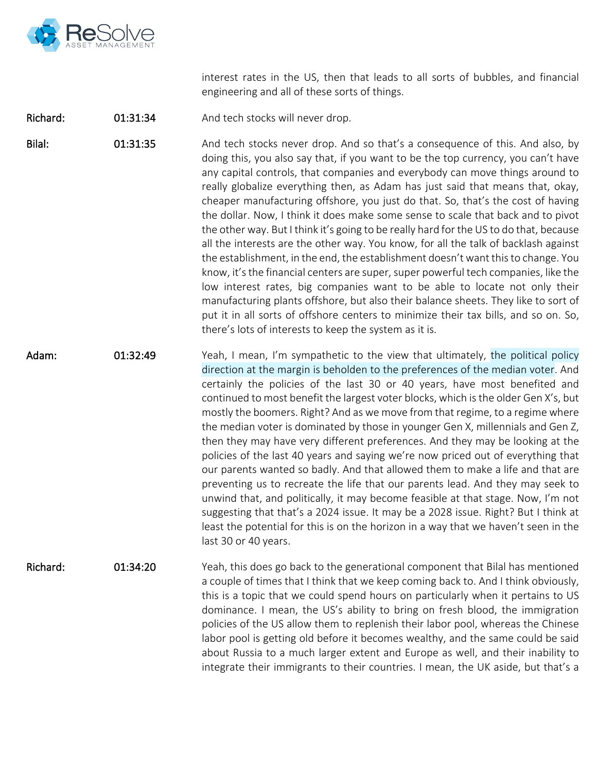

interest rates in the US, then that leads to all sorts of bubbles, and financial engineering and all of these sorts of things.

Richard: 01:31:34 And tech stocks will never drop.

Bilal: 01:31:35 And tech stocks never drop. And so that's a consequence of this. And also, by doing this, you also say that, if you want to be the top currency, you can't have any capital controls, that companies and everybody can move things around to really globalize everything then, as Adam has just said that means that, okay, cheaper manufacturing offshore, you just do that. So, that's the cost of having the dollar. Now, I think it does make some sense to scale that back and to pivot the other way. But I think it's going to be really hard for the US to do that, because all the interests are the other way. You know, for all the talk of backlash against the establishment, in the end, the establishment doesn't want this to change. You know, it's the financial centers are super, super powerful tech companies, like the low interest rates, big companies want to be able to locate not only their manufacturing plants offshore, but also their balance sheets. They like to sort of put it in all sorts of offshore centers to minimize their tax bills, and so on. So, there's lots of interests to keep the system as it is.

Adam: 01:32:49 Yeah, I mean, I'm sympathetic to the view that ultimately, the political policy direction at the margin is beholden to the preferences of the median voter. And certainly the policies of the last 30 or 40 years, have most benefited and continued to most benefit the largest voter blocks, which is the older Gen X's, but mostly the boomers. Right? And as we move from that regime, to a regime where the median voter is dominated by those in younger Gen X, millennials and Gen Z, then they may have very different preferences. And they may be looking at the policies of the last 40 years and saying we're now priced out of everything that our parents wanted so badly. And that allowed them to make a life and that are preventing us to recreate the life that our parents lead. And they may seek to unwind that, and politically, it may become feasible at that stage. Now, I'm not suggesting that that's a 2024 issue. It may be a 2028 issue. Right? But I think at least the potential for this is on the horizon in a way that we haven't seen in the last 30 or 40 years.

Richard: 01:34:20 Yeah, this does go back to the generational component that Bilal has mentioned a couple of times that I think that we keep coming back to. And I think obviously, this is a topic that we could spend hours on particularly when it pertains to US dominance. I mean, the US's ability to bring on fresh blood, the immigration policies of the US allow them to replenish their labor pool, whereas the Chinese labor pool is getting old before it becomes wealthy, and the same could be said about Russia to a much larger extent and Europe as well, and their inability to integrate their immigrants to their countries. I mean, the UK aside, but that's a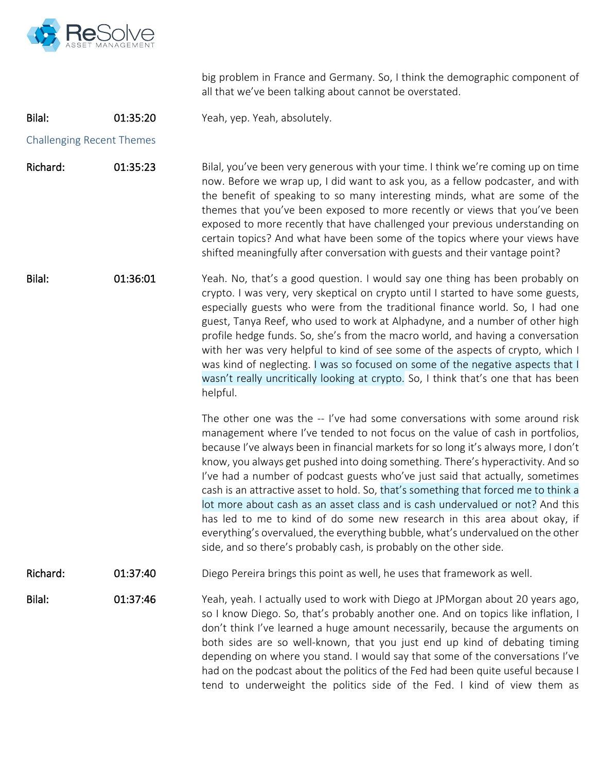

big problem in France and Germany. So, I think the demographic component of all that we've been talking about cannot be overstated.

# Bilal: 01:35:20 Yeah, yep. Yeah, absolutely.

Challenging Recent Themes

Richard: 01:35:23 Bilal, you've been very generous with your time. I think we're coming up on time now. Before we wrap up, I did want to ask you, as a fellow podcaster, and with the benefit of speaking to so many interesting minds, what are some of the themes that you've been exposed to more recently or views that you've been exposed to more recently that have challenged your previous understanding on certain topics? And what have been some of the topics where your views have shifted meaningfully after conversation with guests and their vantage point?

Bilal: 01:36:01 Yeah. No, that's a good question. I would say one thing has been probably on crypto. I was very, very skeptical on crypto until I started to have some guests, especially guests who were from the traditional finance world. So, I had one guest, Tanya Reef, who used to work at Alphadyne, and a number of other high profile hedge funds. So, she's from the macro world, and having a conversation with her was very helpful to kind of see some of the aspects of crypto, which I was kind of neglecting. I was so focused on some of the negative aspects that I wasn't really uncritically looking at crypto. So, I think that's one that has been helpful.

> The other one was the -- I've had some conversations with some around risk management where I've tended to not focus on the value of cash in portfolios, because I've always been in financial markets for so long it's always more, I don't know, you always get pushed into doing something. There's hyperactivity. And so I've had a number of podcast guests who've just said that actually, sometimes cash is an attractive asset to hold. So, that's something that forced me to think a lot more about cash as an asset class and is cash undervalued or not? And this has led to me to kind of do some new research in this area about okay, if everything's overvalued, the everything bubble, what's undervalued on the other side, and so there's probably cash, is probably on the other side.

Richard: 01:37:40 Diego Pereira brings this point as well, he uses that framework as well.

Bilal: 01:37:46 Yeah, yeah. I actually used to work with Diego at JPMorgan about 20 years ago, so I know Diego. So, that's probably another one. And on topics like inflation, I don't think I've learned a huge amount necessarily, because the arguments on both sides are so well-known, that you just end up kind of debating timing depending on where you stand. I would say that some of the conversations I've had on the podcast about the politics of the Fed had been quite useful because I tend to underweight the politics side of the Fed. I kind of view them as